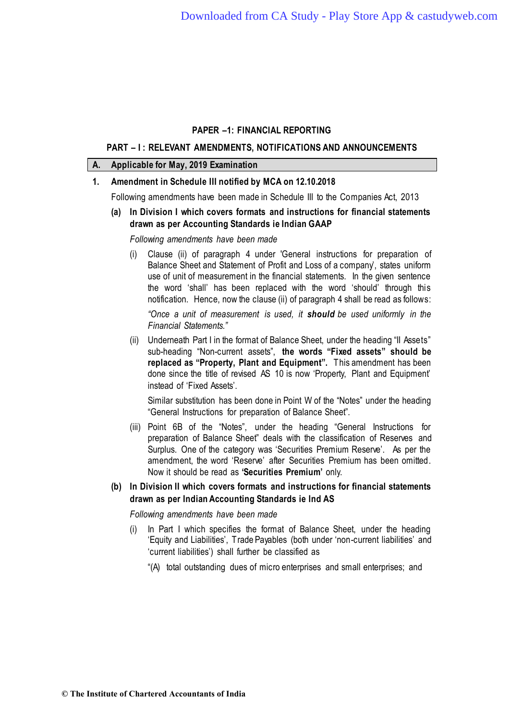## **PART – I : RELEVANT AMENDMENTS, NOTIFICATIONS AND ANNOUNCEMENTS**

## **A. Applicable for May, 2019 Examination**

## **1. Amendment in Schedule III notified by MCA on 12.10.2018**

Following amendments have been made in Schedule III to the Companies Act, 2013

# **(a) In Division I which covers formats and instructions for financial statements drawn as per Accounting Standards ie Indian GAAP**

*Following amendments have been made*

(i) Clause (ii) of paragraph 4 under 'General instructions for preparation of Balance Sheet and Statement of Profit and Loss of a company', states uniform use of unit of measurement in the financial statements. In the given sentence the word 'shall' has been replaced with the word 'should' through this notification. Hence, now the clause (ii) of paragraph 4 shall be read as follows:

*"Once a unit of measurement is used, it should be used uniformly in the Financial Statements."*

(ii) Underneath Part I in the format of Balance Sheet, under the heading "II Assets" sub-heading "Non-current assets", **the words "Fixed assets" should be replaced as "Property, Plant and Equipment".** This amendment has been done since the title of revised AS 10 is now 'Property, Plant and Equipment' instead of 'Fixed Assets'.

Similar substitution has been done in Point W of the "Notes" under the heading "General Instructions for preparation of Balance Sheet".

- (iii) Point 6B of the "Notes", under the heading "General Instructions for preparation of Balance Sheet" deals with the classification of Reserves and Surplus. One of the category was 'Securities Premium Reserve'. As per the amendment, the word 'Reserve' after Securities Premium has been omitted. Now it should be read as **'Securities Premium'** only.
- **(b) In Division II which covers formats and instructions for financial statements drawn as per Indian Accounting Standards ie Ind AS**

*Following amendments have been made*

- (i) In Part I which specifies the format of Balance Sheet, under the heading 'Equity and Liabilities', Trade Payables (both under 'non-current liabilities' and 'current liabilities') shall further be classified as
	- "(A) total outstanding dues of micro enterprises and small enterprises; and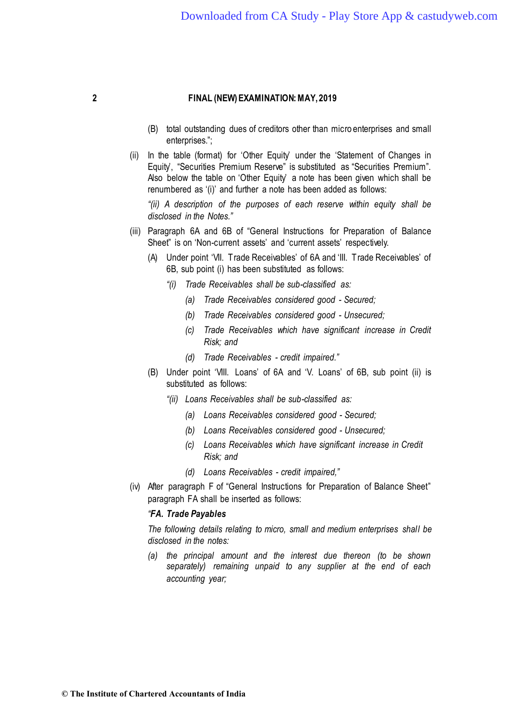- (B) total outstanding dues of creditors other than micro enterprises and small enterprises.";
- (ii) In the table (format) for 'Other Equity' under the 'Statement of Changes in Equity, "Securities Premium Reserve" is substituted as "Securities Premium". Also below the table on 'Other Equity' a note has been given which shall be renumbered as '(i)' and further a note has been added as follows:

*"(ii) A description of the purposes of each reserve within equity shall be disclosed in the Notes."*

- (iii) Paragraph 6A and 6B of "General Instructions for Preparation of Balance Sheet" is on 'Non-current assets' and 'current assets' respectively.
	- (A) Under point 'VII. Trade Receivables' of 6A and 'III. Trade Receivables' of 6B, sub point (i) has been substituted as follows:
		- *"(i) Trade Receivables shall be sub-classified as:*
			- *(a) Trade Receivables considered good - Secured;*
			- *(b) Trade Receivables considered good - Unsecured;*
			- *(c) Trade Receivables which have significant increase in Credit Risk; and*
			- *(d) Trade Receivables - credit impaired."*
	- (B) Under point 'VIII. Loans' of 6A and 'V. Loans' of 6B, sub point (ii) is substituted as follows:
		- *"(ii) Loans Receivables shall be sub-classified as:*
			- *(a) Loans Receivables considered good - Secured;*
			- *(b) Loans Receivables considered good - Unsecured;*
			- *(c) Loans Receivables which have significant increase in Credit Risk; and*
			- *(d) Loans Receivables - credit impaired,"*
- (iv) After paragraph F of "General Instructions for Preparation of Balance Sheet" paragraph FA shall be inserted as follows:

## *"FA. Trade Payables*

*The following details relating to micro, small and medium enterprises shall be disclosed in the notes:* 

*(a) the principal amount and the interest due thereon (to be shown separately) remaining unpaid to any supplier at the end of each accounting year;*

**© The Institute of Chartered Accountants of India**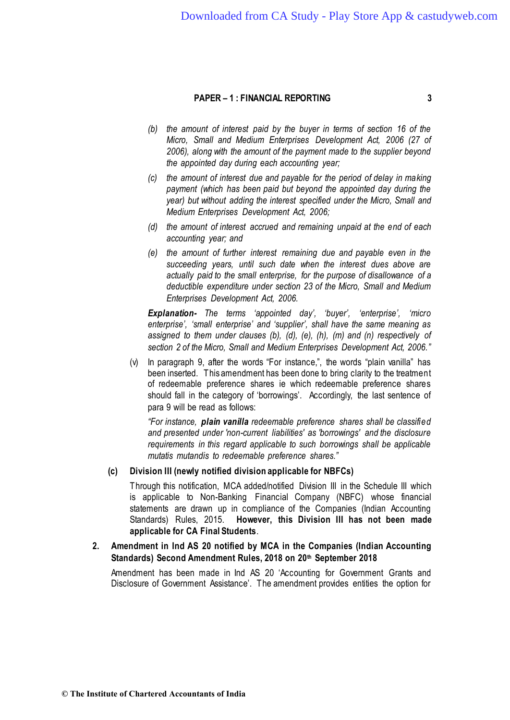- *(b) the amount of interest paid by the buyer in terms of section 16 of the Micro, Small and Medium Enterprises Development Act, 2006 (27 of 2006), along with the amount of the payment made to the supplier beyond the appointed day during each accounting year;*
- *(c) the amount of interest due and payable for the period of delay in making payment (which has been paid but beyond the appointed day during the year) but without adding the interest specified under the Micro, Small and Medium Enterprises Development Act, 2006;*
- *(d) the amount of interest accrued and remaining unpaid at the end of each accounting year; and*
- *(e) the amount of further interest remaining due and payable even in the succeeding years, until such date when the interest dues above are actually paid to the small enterprise, for the purpose of disallowance of a deductible expenditure under section 23 of the Micro, Small and Medium Enterprises Development Act, 2006.*

*Explanation- The terms 'appointed day', 'buyer', 'enterprise', 'micro enterprise', 'small enterprise' and 'supplier', shall have the same meaning as assigned to them under clauses (b), (d), (e), (h), (m) and (n) respectively of section 2 of the Micro, Small and Medium Enterprises Development Act, 2006."*

(v) In paragraph 9, after the words "For instance,", the words "plain vanilla" has been inserted. This amendment has been done to bring clarity to the treatment of redeemable preference shares ie which redeemable preference shares should fall in the category of 'borrowings'. Accordingly, the last sentence of para 9 will be read as follows:

*"For instance, plain vanilla redeemable preference shares shall be classified and presented under 'non-current liabilities' as 'borrowings' and the disclosure requirements in this regard applicable to such borrowings shall be applicable mutatis mutandis to redeemable preference shares."*

# **(c) Division III (newly notified division applicable for NBFCs)**

Through this notification, MCA added/notified Division III in the Schedule III which is applicable to Non-Banking Financial Company (NBFC) whose financial statements are drawn up in compliance of the Companies (Indian Accounting Standards) Rules, 2015. **However, this Division III has not been made applicable for CA Final Students**.

# **2. Amendment in Ind AS 20 notified by MCA in the Companies (Indian Accounting Standards) Second Amendment Rules, 2018 on 20th September 2018**

Amendment has been made in Ind AS 20 'Accounting for Government Grants and Disclosure of Government Assistance'. The amendment provides entities the option for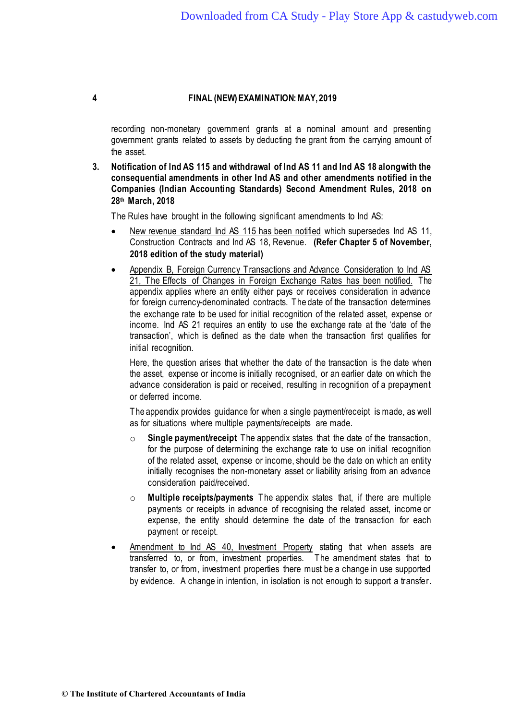recording non-monetary government grants at a nominal amount and presenting government grants related to assets by deducting the grant from the carrying amount of the asset.

**3. Notification of Ind AS 115 and withdrawal of Ind AS 11 and Ind AS 18 alongwith the consequential amendments in other Ind AS and other amendments notified in the Companies (Indian Accounting Standards) Second Amendment Rules, 2018 on 28th March, 2018**

The Rules have brought in the following significant amendments to Ind AS:

- New revenue standard Ind AS 115 has been notified which supersedes Ind AS 11, Construction Contracts and Ind AS 18, Revenue. **(Refer Chapter 5 of November, 2018 edition of the study material)**
- Appendix B, Foreign Currency Transactions and Advance Consideration to Ind AS 21, The Effects of Changes in Foreign Exchange Rates has been notified. The appendix applies where an entity either pays or receives consideration in advance for foreign currency-denominated contracts. The date of the transaction determines the exchange rate to be used for initial recognition of the related asset, expense or income. Ind AS 21 requires an entity to use the exchange rate at the 'date of the transaction', which is defined as the date when the transaction first qualifies for initial recognition.

Here, the question arises that whether the date of the transaction is the date when the asset, expense or income is initially recognised, or an earlier date on which the advance consideration is paid or received, resulting in recognition of a prepayment or deferred income.

The appendix provides guidance for when a single payment/receipt is made, as well as for situations where multiple payments/receipts are made.

- o **Single payment/receipt** The appendix states that the date of the transaction, for the purpose of determining the exchange rate to use on initial recognition of the related asset, expense or income, should be the date on which an entity initially recognises the non-monetary asset or liability arising from an advance consideration paid/received.
- o **Multiple receipts/payments** The appendix states that, if there are multiple payments or receipts in advance of recognising the related asset, income or expense, the entity should determine the date of the transaction for each payment or receipt.
- Amendment to Ind AS 40, Investment Property stating that when assets are transferred to, or from, investment properties. The amendment states that to transfer to, or from, investment properties there must be a change in use supported by evidence. A change in intention, in isolation is not enough to support a transfer.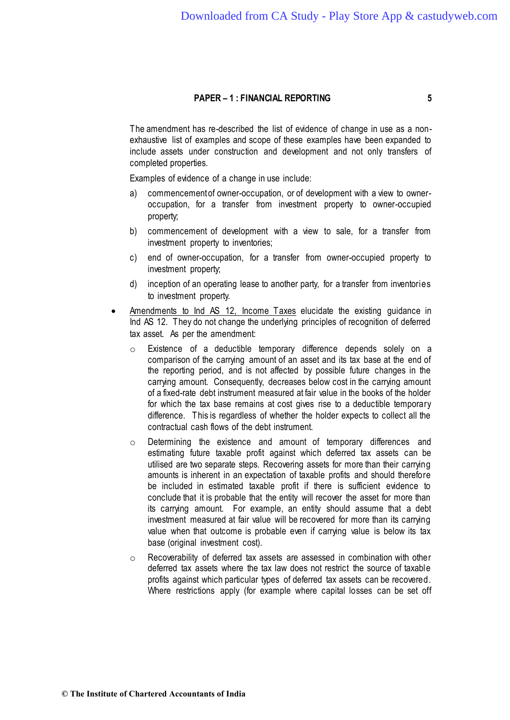The amendment has re-described the list of evidence of change in use as a nonexhaustive list of examples and scope of these examples have been expanded to include assets under construction and development and not only transfers of completed properties.

Examples of evidence of a change in use include:

- a) commencement of owner-occupation, or of development with a view to owneroccupation, for a transfer from investment property to owner-occupied property;
- b) commencement of development with a view to sale, for a transfer from investment property to inventories;
- c) end of owner-occupation, for a transfer from owner-occupied property to investment property;
- d) inception of an operating lease to another party, for a transfer from inventories to investment property.
- Amendments to Ind AS 12, Income Taxes elucidate the existing guidance in Ind AS 12. They do not change the underlying principles of recognition of deferred tax asset. As per the amendment:
	- o Existence of a deductible temporary difference depends solely on a comparison of the carrying amount of an asset and its tax base at the end of the reporting period, and is not affected by possible future changes in the carrying amount. Consequently, decreases below cost in the carrying amount of a fixed-rate debt instrument measured at fair value in the books of the holder for which the tax base remains at cost gives rise to a deductible temporary difference. This is regardless of whether the holder expects to collect all the contractual cash flows of the debt instrument.
	- o Determining the existence and amount of temporary differences and estimating future taxable profit against which deferred tax assets can be utilised are two separate steps. Recovering assets for more than their carrying amounts is inherent in an expectation of taxable profits and should therefore be included in estimated taxable profit if there is sufficient evidence to conclude that it is probable that the entity will recover the asset for more than its carrying amount. For example, an entity should assume that a debt investment measured at fair value will be recovered for more than its carrying value when that outcome is probable even if carrying value is below its tax base (original investment cost).
	- o Recoverability of deferred tax assets are assessed in combination with other deferred tax assets where the tax law does not restrict the source of taxable profits against which particular types of deferred tax assets can be recovered. Where restrictions apply (for example where capital losses can be set off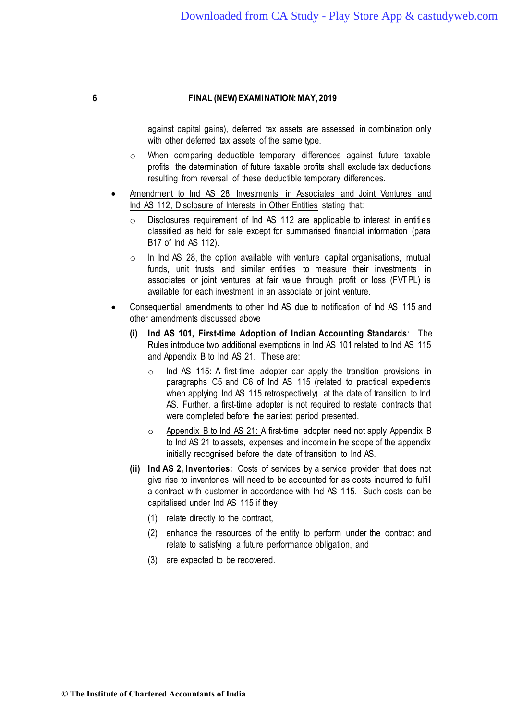against capital gains), deferred tax assets are assessed in combination only with other deferred tax assets of the same type.

- o When comparing deductible temporary differences against future taxable profits, the determination of future taxable profits shall exclude tax deductions resulting from reversal of these deductible temporary differences.
- Amendment to Ind AS 28, Investments in Associates and Joint Ventures and Ind AS 112, Disclosure of Interests in Other Entities stating that:
	- Disclosures requirement of Ind AS 112 are applicable to interest in entities classified as held for sale except for summarised financial information (para B17 of Ind AS 112).
	- $\circ$  In Ind AS 28, the option available with venture capital organisations, mutual funds, unit trusts and similar entities to measure their investments in associates or joint ventures at fair value through profit or loss (FVTPL) is available for each investment in an associate or joint venture.
- Consequential amendments to other Ind AS due to notification of Ind AS 115 and other amendments discussed above
	- **(i) Ind AS 101, First-time Adoption of Indian Accounting Standards**: The Rules introduce two additional exemptions in Ind AS 101 related to Ind AS 115 and Appendix B to Ind AS 21. These are:
		- $\circ$  Ind AS 115: A first-time adopter can apply the transition provisions in paragraphs C5 and C6 of Ind AS 115 (related to practical expedients when applying Ind AS 115 retrospectively) at the date of transition to Ind AS. Further, a first-time adopter is not required to restate contracts that were completed before the earliest period presented.
		- $\circ$  Appendix B to lnd AS 21: A first-time adopter need not apply Appendix B to Ind AS 21 to assets, expenses and income in the scope of the appendix initially recognised before the date of transition to Ind AS.
	- **(ii) Ind AS 2, Inventories:** Costs of services by a service provider that does not give rise to inventories will need to be accounted for as costs incurred to fulfil a contract with customer in accordance with Ind AS 115. Such costs can be capitalised under Ind AS 115 if they
		- (1) relate directly to the contract,
		- (2) enhance the resources of the entity to perform under the contract and relate to satisfying a future performance obligation, and
		- (3) are expected to be recovered.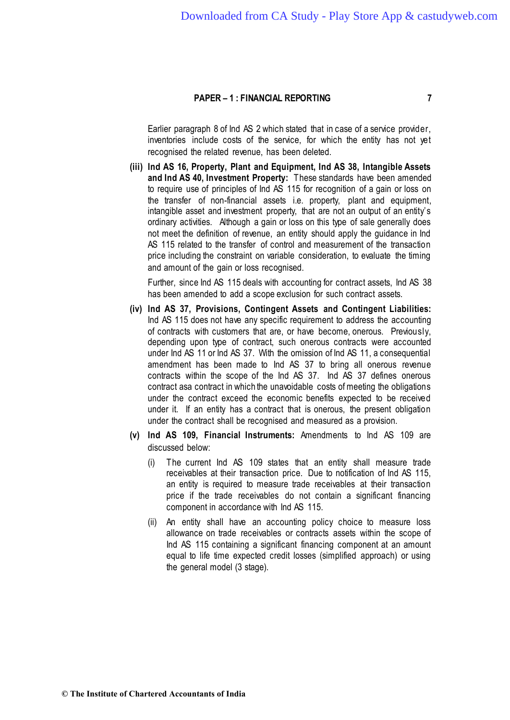Earlier paragraph 8 of Ind AS 2 which stated that in case of a service provider, inventories include costs of the service, for which the entity has not yet recognised the related revenue, has been deleted.

**(iii) Ind AS 16, Property, Plant and Equipment, Ind AS 38, Intangible Assets and Ind AS 40, Investment Property:** These standards have been amended to require use of principles of Ind AS 115 for recognition of a gain or loss on the transfer of non-financial assets i.e. property, plant and equipment, intangible asset and investment property, that are not an output of an entity's ordinary activities. Although a gain or loss on this type of sale generally does not meet the definition of revenue, an entity should apply the guidance in Ind AS 115 related to the transfer of control and measurement of the transaction price including the constraint on variable consideration, to evaluate the timing and amount of the gain or loss recognised.

Further, since Ind AS 115 deals with accounting for contract assets, Ind AS 38 has been amended to add a scope exclusion for such contract assets.

- **(iv) Ind AS 37, Provisions, Contingent Assets and Contingent Liabilities:** Ind AS 115 does not have any specific requirement to address the accounting of contracts with customers that are, or have become, onerous. Previously, depending upon type of contract, such onerous contracts were accounted under Ind AS 11 or Ind AS 37. With the omission of Ind AS 11, a consequential amendment has been made to Ind AS 37 to bring all onerous revenue contracts within the scope of the Ind AS 37. Ind AS 37 defines onerous contract asa contract in which the unavoidable costs of meeting the obligations under the contract exceed the economic benefits expected to be received under it. If an entity has a contract that is onerous, the present obligation under the contract shall be recognised and measured as a provision.
- **(v) Ind AS 109, Financial Instruments:** Amendments to Ind AS 109 are discussed below:
	- (i) The current Ind AS 109 states that an entity shall measure trade receivables at their transaction price. Due to notification of Ind AS 115, an entity is required to measure trade receivables at their transaction price if the trade receivables do not contain a significant financing component in accordance with Ind AS 115.
	- (ii) An entity shall have an accounting policy choice to measure loss allowance on trade receivables or contracts assets within the scope of Ind AS 115 containing a significant financing component at an amount equal to life time expected credit losses (simplified approach) or using the general model (3 stage).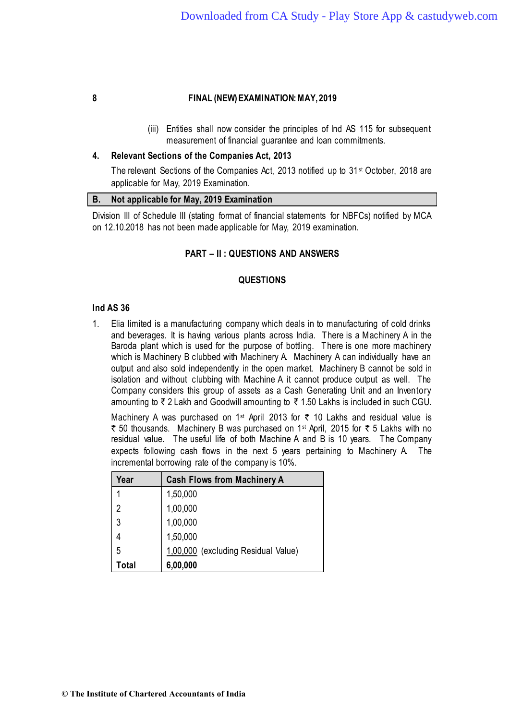(iii) Entities shall now consider the principles of Ind AS 115 for subsequent measurement of financial guarantee and loan commitments.

### **4. Relevant Sections of the Companies Act, 2013**

The relevant Sections of the Companies Act, 2013 notified up to 31st October, 2018 are applicable for May, 2019 Examination.

#### **B. Not applicable for May, 2019 Examination**

Division III of Schedule III (stating format of financial statements for NBFCs) notified by MCA on 12.10.2018 has not been made applicable for May, 2019 examination.

## **PART – II : QUESTIONS AND ANSWERS**

## **QUESTIONS**

#### **Ind AS 36**

1. Elia limited is a manufacturing company which deals in to manufacturing of cold drinks and beverages. It is having various plants across India. There is a Machinery A in the Baroda plant which is used for the purpose of bottling. There is one more machinery which is Machinery B clubbed with Machinery A. Machinery A can individually have an output and also sold independently in the open market. Machinery B cannot be sold in isolation and without clubbing with Machine A it cannot produce output as well. The Company considers this group of assets as a Cash Generating Unit and an Inventory amounting to  $\bar{\tau}$  2 Lakh and Goodwill amounting to  $\bar{\tau}$  1.50 Lakhs is included in such CGU.

Machinery A was purchased on 1<sup>st</sup> April 2013 for  $\bar{\tau}$  10 Lakhs and residual value is  $\bar{\tau}$  50 thousands. Machinery B was purchased on 1<sup>st</sup> April, 2015 for  $\bar{\tau}$  5 Lakhs with no residual value. The useful life of both Machine A and B is 10 years. The Company expects following cash flows in the next 5 years pertaining to Machinery A. The incremental borrowing rate of the company is 10%.

| Year  | <b>Cash Flows from Machinery A</b>  |
|-------|-------------------------------------|
| 1     | 1,50,000                            |
| 2     | 1,00,000                            |
| 3     | 1,00,000                            |
|       | 1,50,000                            |
| 5     | 1,00,000 (excluding Residual Value) |
| Total | 6,00,000                            |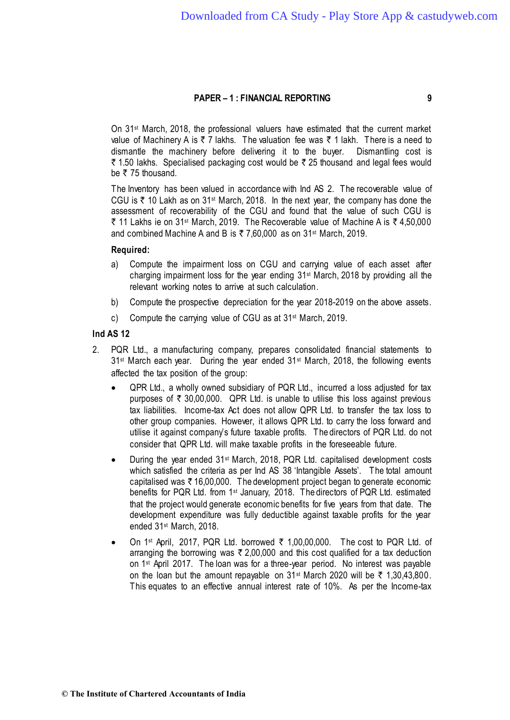On 31st March, 2018, the professional valuers have estimated that the current market value of Machinery A is  $\bar{\tau}$  7 lakhs. The valuation fee was  $\bar{\tau}$  1 lakh. There is a need to dismantle the machinery before delivering it to the buyer. Dismantling cost is  $\bar{\tau}$  1.50 lakhs. Specialised packaging cost would be  $\bar{\tau}$  25 thousand and legal fees would be  $\bar{\tau}$  75 thousand.

The Inventory has been valued in accordance with Ind AS 2. The recoverable value of CGU is  $\bar{\tau}$  10 Lakh as on 31<sup>st</sup> March, 2018. In the next year, the company has done the assessment of recoverability of the CGU and found that the value of such CGU is ₹ 11 Lakhs ie on 31<sup>st</sup> March, 2019. The Recoverable value of Machine A is ₹ 4,50,000 and combined Machine A and B is  $\overline{z}$  7,60,000 as on 31<sup>st</sup> March, 2019.

# **Required:**

- a) Compute the impairment loss on CGU and carrying value of each asset after charging impairment loss for the year ending 31st March, 2018 by providing all the relevant working notes to arrive at such calculation.
- b) Compute the prospective depreciation for the year 2018-2019 on the above assets.
- c) Compute the carrying value of CGU as at 31st March, 2019.

# **Ind AS 12**

- 2. PQR Ltd., a manufacturing company, prepares consolidated financial statements to 31<sup>st</sup> March each year. During the year ended 31<sup>st</sup> March, 2018, the following events affected the tax position of the group:
	- QPR Ltd., a wholly owned subsidiary of PQR Ltd., incurred a loss adjusted for tax purposes of  $\overline{\tau}$  30,00,000. QPR Ltd. is unable to utilise this loss against previous tax liabilities. Income-tax Act does not allow QPR Ltd. to transfer the tax loss to other group companies. However, it allows QPR Ltd. to carry the loss forward and utilise it against company's future taxable profits. The directors of PQR Ltd. do not consider that QPR Ltd. will make taxable profits in the foreseeable future.
	- During the year ended 31st March, 2018, PQR Ltd. capitalised development costs which satisfied the criteria as per Ind AS 38 'Intangible Assets'. The total amount capitalised was  $\bar{\tau}$  16,00,000. The development project began to generate economic benefits for PQR Ltd. from 1st January, 2018. The directors of PQR Ltd. estimated that the project would generate economic benefits for five years from that date. The development expenditure was fully deductible against taxable profits for the year ended 31st March, 2018.
	- On 1st April, 2017, PQR Ltd. borrowed ` 1,00,00,000. The cost to PQR Ltd. of arranging the borrowing was  $\bar{\tau}$  2,00,000 and this cost qualified for a tax deduction on 1st April 2017. The loan was for a three-year period. No interest was payable on the loan but the amount repayable on  $31$ <sup>st</sup> March 2020 will be  $\bar{\tau}$  1,30,43,800. This equates to an effective annual interest rate of 10%. As per the Income-tax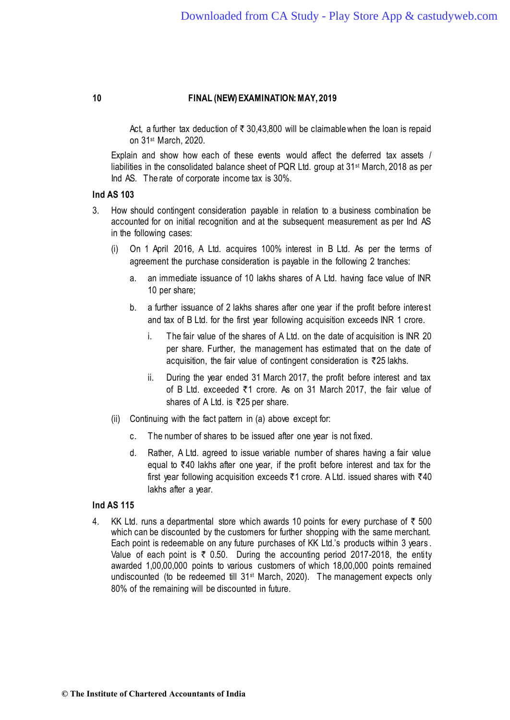Act, a further tax deduction of  $\bar{\tau}$  30,43,800 will be claimable when the loan is repaid on 31st March, 2020.

Explain and show how each of these events would affect the deferred tax assets / liabilities in the consolidated balance sheet of PQR Ltd. group at 31st March, 2018 as per Ind AS. The rate of corporate income tax is 30%.

# **Ind AS 103**

- 3. How should contingent consideration payable in relation to a business combination be accounted for on initial recognition and at the subsequent measurement as per Ind AS in the following cases:
	- (i) On 1 April 2016, A Ltd. acquires 100% interest in B Ltd. As per the terms of agreement the purchase consideration is payable in the following 2 tranches:
		- a. an immediate issuance of 10 lakhs shares of A Ltd. having face value of INR 10 per share;
		- b. a further issuance of 2 lakhs shares after one year if the profit before interest and tax of B Ltd. for the first year following acquisition exceeds INR 1 crore.
			- i. The fair value of the shares of A Ltd. on the date of acquisition is INR 20 per share. Further, the management has estimated that on the date of acquisition, the fair value of contingent consideration is  $\bar{\tau}$ 25 lakhs.
			- ii. During the year ended 31 March 2017, the profit before interest and tax of B Ltd. exceeded `1 crore. As on 31 March 2017, the fair value of shares of A Ltd. is  $\overline{5}25$  per share.
	- (ii) Continuing with the fact pattern in (a) above except for:
		- c. The number of shares to be issued after one year is not fixed.
		- d. Rather, A Ltd. agreed to issue variable number of shares having a fair value equal to  $\bar{\tau}$ 40 lakhs after one year, if the profit before interest and tax for the first year following acquisition exceeds  $\overline{5}1$  crore. A Ltd. issued shares with  $\overline{5}40$ lakhs after a year.

# **Ind AS 115**

4. KK Ltd. runs a departmental store which awards 10 points for every purchase of  $\bar{\tau}$  500 which can be discounted by the customers for further shopping with the same merchant. Each point is redeemable on any future purchases of KK Ltd.'s products within 3 years . Value of each point is  $\overline{\zeta}$  0.50. During the accounting period 2017-2018, the entity awarded 1,00,00,000 points to various customers of which 18,00,000 points remained undiscounted (to be redeemed till 31<sup>st</sup> March, 2020). The management expects only 80% of the remaining will be discounted in future.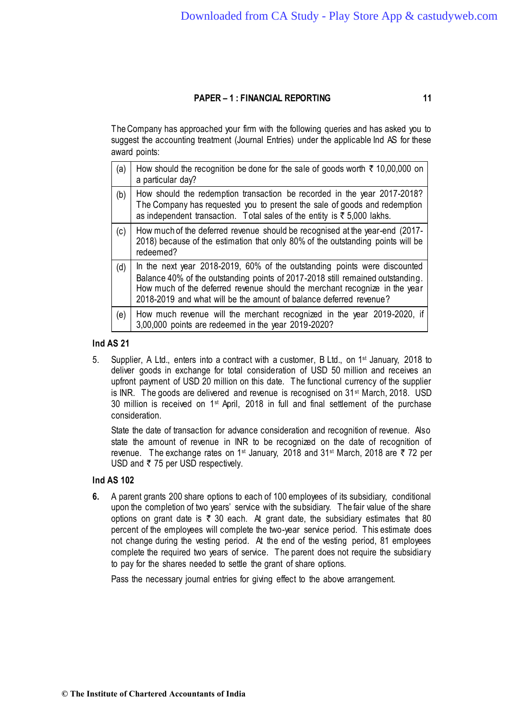The Company has approached your firm with the following queries and has asked you to suggest the accounting treatment (Journal Entries) under the applicable Ind AS for these award points:

| (a) | How should the recognition be done for the sale of goods worth $\bar{\tau}$ 10,00,000 on<br>a particular day?                                                                                                                                                                                                   |
|-----|-----------------------------------------------------------------------------------------------------------------------------------------------------------------------------------------------------------------------------------------------------------------------------------------------------------------|
| (b) | How should the redemption transaction be recorded in the year 2017-2018?<br>The Company has requested you to present the sale of goods and redemption<br>as independent transaction. Total sales of the entity is $\overline{\xi}$ 5,000 lakhs.                                                                 |
| (c) | How much of the deferred revenue should be recognised at the year-end (2017-<br>2018) because of the estimation that only 80% of the outstanding points will be<br>redeemed?                                                                                                                                    |
| (d) | In the next year 2018-2019, 60% of the outstanding points were discounted<br>Balance 40% of the outstanding points of 2017-2018 still remained outstanding.<br>How much of the deferred revenue should the merchant recognize in the year<br>2018-2019 and what will be the amount of balance deferred revenue? |
| (e) | How much revenue will the merchant recognized in the year 2019-2020, if<br>3,00,000 points are redeemed in the year 2019-2020?                                                                                                                                                                                  |

# **Ind AS 21**

5. Supplier, A Ltd., enters into a contract with a customer, B Ltd., on 1st January, 2018 to deliver goods in exchange for total consideration of USD 50 million and receives an upfront payment of USD 20 million on this date. The functional currency of the supplier is INR. The goods are delivered and revenue is recognised on  $31<sup>st</sup>$  March, 2018. USD 30 million is received on 1<sup>st</sup> April, 2018 in full and final settlement of the purchase consideration.

State the date of transaction for advance consideration and recognition of revenue. Also state the amount of revenue in INR to be recognized on the date of recognition of revenue. The exchange rates on 1<sup>st</sup> January, 2018 and 31<sup>st</sup> March, 2018 are ₹ 72 per USD and  $\bar{\tau}$  75 per USD respectively.

## **Ind AS 102**

**6.** A parent grants 200 share options to each of 100 employees of its subsidiary, conditional upon the completion of two years' service with the subsidiary. The fair value of the share options on grant date is  $\bar{\tau}$  30 each. At grant date, the subsidiary estimates that 80 percent of the employees will complete the two-year service period. This estimate does not change during the vesting period. At the end of the vesting period, 81 employees complete the required two years of service. The parent does not require the subsidiary to pay for the shares needed to settle the grant of share options.

Pass the necessary journal entries for giving effect to the above arrangement.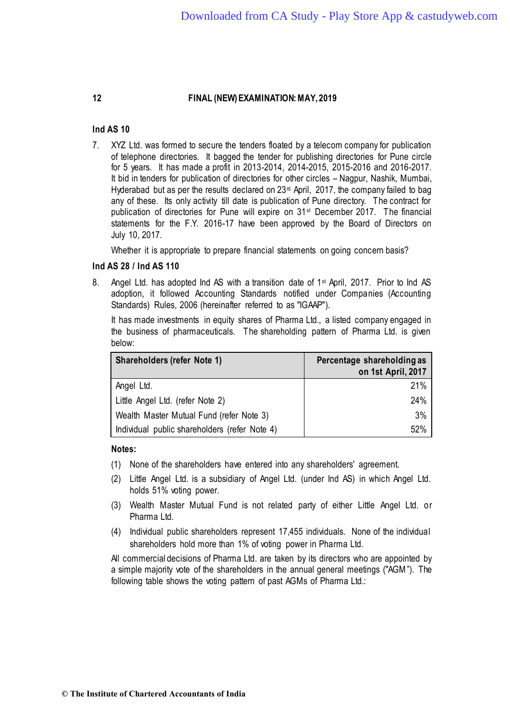# **Ind AS 10**

7. XYZ Ltd. was formed to secure the tenders floated by a telecom company for publication of telephone directories. It bagged the tender for publishing directories for Pune circle for 5 years. It has made a profit in 2013-2014, 2014-2015, 2015-2016 and 2016-2017. It bid in tenders for publication of directories for other circles – Nagpur, Nashik, Mumbai, Hyderabad but as per the results declared on  $23<sup>rd</sup>$  April, 2017, the company failed to bag any of these. Its only activity till date is publication of Pune directory. The contract for publication of directories for Pune will expire on 31st December 2017. The financial statements for the F.Y. 2016-17 have been approved by the Board of Directors on July 10, 2017.

Whether it is appropriate to prepare financial statements on going concern basis?

# **Ind AS 28 / Ind AS 110**

8. Angel Ltd. has adopted Ind AS with a transition date of 1<sup>st</sup> April, 2017. Prior to Ind AS adoption, it followed Accounting Standards notified under Companies (Accounting Standards) Rules, 2006 (hereinafter referred to as "IGAAP").

It has made investments in equity shares of Pharma Ltd., a listed company engaged in the business of pharmaceuticals. The shareholding pattern of Pharma Ltd. is given below:

| <b>Shareholders (refer Note 1)</b>            | Percentage shareholding as<br>on 1st April, 2017 |
|-----------------------------------------------|--------------------------------------------------|
| Angel Ltd.                                    | 21%                                              |
| Little Angel Ltd. (refer Note 2)              | 24%                                              |
| Wealth Master Mutual Fund (refer Note 3)      | 3%                                               |
| Individual public shareholders (refer Note 4) | 52%                                              |

## **Notes:**

- (1) None of the shareholders have entered into any shareholders' agreement.
- (2) Little Angel Ltd. is a subsidiary of Angel Ltd. (under Ind AS) in which Angel Ltd. holds 51% voting power.
- (3) Wealth Master Mutual Fund is not related party of either Little Angel Ltd. or Pharma Ltd.
- (4) Individual public shareholders represent 17,455 individuals. None of the individual shareholders hold more than 1% of voting power in Pharma Ltd.

All commercial decisions of Pharma Ltd. are taken by its directors who are appointed by a simple majority vote of the shareholders in the annual general meetings ("AGM"). The following table shows the voting pattern of past AGMs of Pharma Ltd.: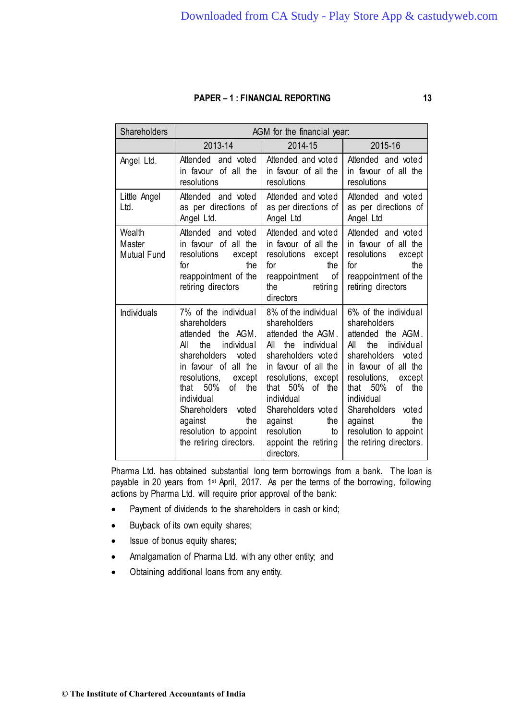| Shareholders                           | AGM for the financial year:                                                                                                                                                                                                                                                                         |                                                                                                                                                                                                                                                                                                  |                                                                                                                                                                                                                                                                                                     |
|----------------------------------------|-----------------------------------------------------------------------------------------------------------------------------------------------------------------------------------------------------------------------------------------------------------------------------------------------------|--------------------------------------------------------------------------------------------------------------------------------------------------------------------------------------------------------------------------------------------------------------------------------------------------|-----------------------------------------------------------------------------------------------------------------------------------------------------------------------------------------------------------------------------------------------------------------------------------------------------|
|                                        | 2013-14                                                                                                                                                                                                                                                                                             | 2014-15                                                                                                                                                                                                                                                                                          | 2015-16                                                                                                                                                                                                                                                                                             |
| Angel Ltd.                             | Attended and voted<br>in favour of all the<br>resolutions                                                                                                                                                                                                                                           | Attended and voted<br>in favour of all the<br>resolutions                                                                                                                                                                                                                                        | Attended and voted<br>in favour of all the<br>resolutions                                                                                                                                                                                                                                           |
| Little Angel<br>Ltd.                   | Attended and voted<br>as per directions of<br>Angel Ltd.                                                                                                                                                                                                                                            | Attended and voted<br>as per directions of<br>Angel Ltd                                                                                                                                                                                                                                          | Attended and voted<br>as per directions of<br>Angel Ltd                                                                                                                                                                                                                                             |
| Wealth<br>Master<br><b>Mutual Fund</b> | Attended and voted<br>in favour of all the<br>resolutions<br>except<br>the<br>for<br>reappointment of the<br>retiring directors                                                                                                                                                                     | Attended and voted<br>in favour of all the<br>resolutions except<br>the<br>for<br>reappointment of<br>the the state of the state of the state of the state of the state of the state of the state of the state of the<br>retiring<br>directors                                                   | Attended and voted<br>in favour of all the<br>resolutions<br>except<br>the<br>for<br>reappointment of the<br>retiring directors                                                                                                                                                                     |
| <b>Individuals</b>                     | 7% of the individual<br>shareholders<br>attended the AGM.<br>individual<br>All<br>the<br>shareholders<br>voted<br>in favour of all the<br>resolutions, except<br>50%<br>that<br>of<br>the<br>individual<br>Shareholders voted<br>against<br>the<br>resolution to appoint<br>the retiring directors. | 8% of the individual<br>shareholders<br>attended the AGM.<br>the individual<br>All<br>shareholders voted<br>in favour of all the<br>resolutions, except<br>that $50\%$<br>of the<br>individual<br>Shareholders voted<br>against<br>the<br>resolution<br>to<br>appoint the retiring<br>directors. | 6% of the individual<br>shareholders<br>attended the AGM.<br>All<br>the<br>individual<br>shareholders<br>voted<br>in favour of all the<br>resolutions,<br>except<br>that $50\%$<br>of the<br>individual<br>Shareholders voted<br>the<br>against<br>resolution to appoint<br>the retiring directors. |

Pharma Ltd. has obtained substantial long term borrowings from a bank. The loan is payable in 20 years from 1st April, 2017. As per the terms of the borrowing, following actions by Pharma Ltd. will require prior approval of the bank:

- Payment of dividends to the shareholders in cash or kind;
- Buyback of its own equity shares;
- Issue of bonus equity shares;
- Amalgamation of Pharma Ltd. with any other entity; and
- Obtaining additional loans from any entity.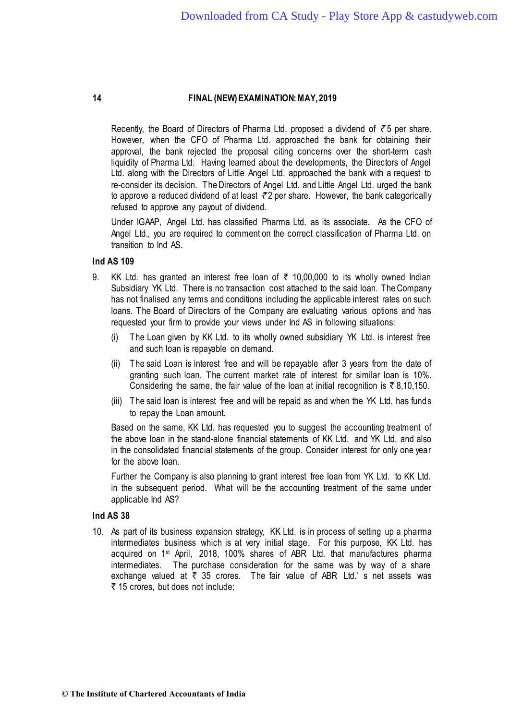Recently, the Board of Directors of Pharma Ltd. proposed a dividend of  $\bar{z}$  5 per share. However, when the CFO of Pharma Ltd. approached the bank for obtaining their approval, the bank rejected the proposal citing concerns over the short-term cash liquidity of Pharma Ltd. Having learned about the developments, the Directors of Angel Ltd. along with the Directors of Little Angel Ltd. approached the bank with a request to re-consider its decision. The Directors of Angel Ltd. and Little Angel Ltd. urged the bank to approve a reduced dividend of at least  $\bar{\tau}$ 2 per share. However, the bank categorically refused to approve any payout of dividend.

Under IGAAP, Angel Ltd. has classified Pharma Ltd. as its associate. As the CFO of Angel Ltd., you are required to comment on the correct classification of Pharma Ltd. on transition to Ind AS.

# Ind AS 109

- 9. KK Ltd. has granted an interest free loan of  $\bar{\tau}$  10,00,000 to its wholly owned Indian Subsidiary YK Ltd. There is no transaction cost attached to the said loan. The Company has not finalised any terms and conditions including the applicable interest rates on such loans. The Board of Directors of the Company are evaluating various options and has requested your firm to provide your views under Ind AS in following situations:
	- (i) The Loan given by KK Ltd. to its wholly owned subsidiary YK Ltd. is interest free and such loan is repayable on demand.
	- (ii) The said Loan is interest free and will be repayable after 3 years from the date of granting such loan. The current market rate of interest for similar loan is 10%. Considering the same, the fair value of the loan at initial recognition is  $\bar{\tau}$  8,10,150.
	- (iii) The said loan is interest free and will be repaid as and when the YK Ltd. has funds to repay the Loan amount.

Based on the same, KK Ltd. has requested you to suggest the accounting treatment of the above loan in the stand-alone financial statements of KK Ltd. and YK Ltd. and also in the consolidated financial statements of the group. Consider interest for only one year for the above loan.

Further the Company is also planning to grant interest free loan from YK Ltd. to KK Ltd. in the subsequent period. What will be the accounting treatment of the same under applicable Ind AS?

## Ind AS 38

10. As part of its business expansion strategy, KK Ltd. is in process of setting up a pharma intermediates business which is at very initial stage. For this purpose, KK Ltd. has acquired on 1st April, 2018, 100% shares of ABR Ltd. that manufactures pharma intermediates. The purchase consideration for the same was by way of a share exchange valued at  $\bar{\tau}$  35 crores. The fair value of ABR Ltd.' s net assets was ₹ 15 crores, but does not include: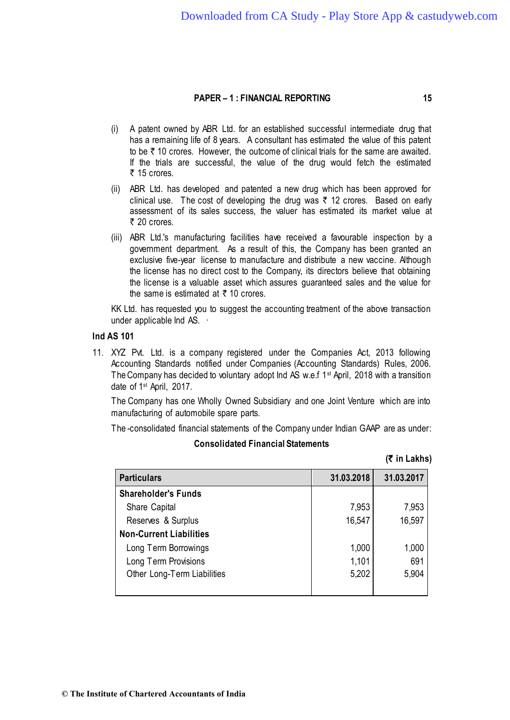- (i) A patent owned by ABR Ltd. for an established successful intermediate drug that has a remaining life of 8 years. A consultant has estimated the value of this patent to be  $\bar{\tau}$  10 crores. However, the outcome of clinical trials for the same are awaited. If the trials are successful, the value of the drug would fetch the estimated  $\bar{\tau}$  15 crores.
- (ii) ABR Ltd. has developed and patented a new drug which has been approved for clinical use. The cost of developing the drug was  $\bar{\tau}$  12 crores. Based on early assessment of its sales success, the valuer has estimated its market value at  $\bar{\tau}$  20 crores.
- (iii) ABR Ltd.'s manufacturing facilities have received a favourable inspection by a government department. As a result of this, the Company has been granted an exclusive five-year license to manufacture and distribute a new vaccine. Although the license has no direct cost to the Company, its directors believe that obtaining the license is a valuable asset which assures guaranteed sales and the value for the same is estimated at  $\bar{\tau}$  10 crores.

KK Ltd. has requested you to suggest the accounting treatment of the above transaction under applicable Ind AS. ·

#### Ind AS 101

11. XYZ Pvt. Ltd. is a company registered under the Companies Act, 2013 following Accounting Standards notified under Companies (Accounting Standards) Rules, 2006. The Company has decided to voluntary adopt Ind AS w.e.f 1st April, 2018 with a transition date of 1st April, 2017.

The Company has one Wholly Owned Subsidiary and one Joint Venture which are into manufacturing of automobile spare parts.

The -consolidated financial statements of the Company under Indian GAAP are as under:

**Consolidated Financial Statements**

**(**` **in Lakhs)**

| <b>Particulars</b>             | 31.03.2018 | 31.03.2017 |
|--------------------------------|------------|------------|
| <b>Shareholder's Funds</b>     |            |            |
| Share Capital                  | 7,953      | 7,953      |
| Reserves & Surplus             | 16,547     | 16,597     |
| <b>Non-Current Liabilities</b> |            |            |
| Long Term Borrowings           | 1,000      | 1,000      |
| Long Term Provisions           | 1,101      | 691        |
| Other Long-Term Liabilities    | 5,202      | 5,904      |
|                                |            |            |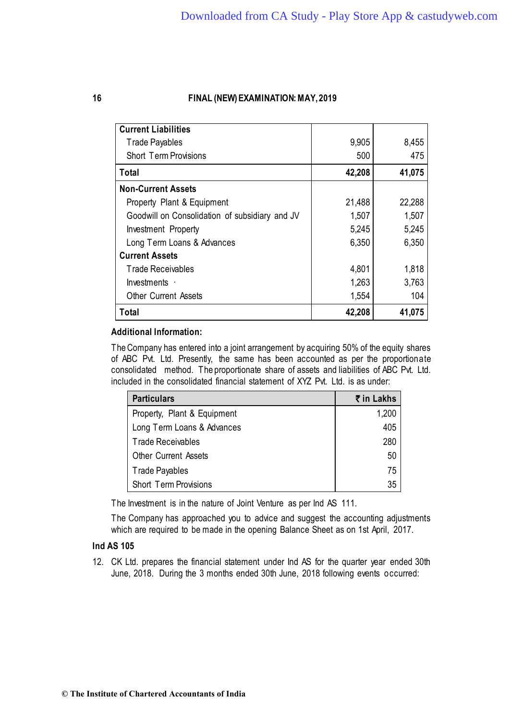| <b>Current Liabilities</b>                     |        |        |
|------------------------------------------------|--------|--------|
| <b>Trade Payables</b>                          | 9,905  | 8,455  |
| <b>Short Term Provisions</b>                   | 500    | 475    |
| Total                                          | 42,208 | 41,075 |
| <b>Non-Current Assets</b>                      |        |        |
| Property Plant & Equipment                     | 21,488 | 22,288 |
| Goodwill on Consolidation of subsidiary and JV | 1,507  | 1,507  |
| Investment Property                            | 5,245  | 5,245  |
| Long Term Loans & Advances                     | 6,350  | 6,350  |
| <b>Current Assets</b>                          |        |        |
| Trade Receivables                              | 4,801  | 1,818  |
| Investments $\cdot$                            | 1,263  | 3,763  |
| <b>Other Current Assets</b>                    | 1,554  | 104    |
| Total                                          | 42,208 | 41,075 |

# **Additional Information:**

The Company has entered into a joint arrangement by acquiring 50% of the equity shares of ABC Pvt. Ltd. Presently, the same has been accounted as per the proportionate consolidated method. The proportionate share of assets and liabilities of ABC Pvt. Ltd. included in the consolidated financial statement of XYZ Pvt. Ltd. is as under:

| <b>Particulars</b>           | ₹ in Lakhs |
|------------------------------|------------|
| Property, Plant & Equipment  | 1,200      |
| Long Term Loans & Advances   | 405        |
| <b>Trade Receivables</b>     | 280        |
| <b>Other Current Assets</b>  | 50         |
| Trade Payables               | 75         |
| <b>Short Term Provisions</b> | 35         |

The Investment is in the nature of Joint Venture as per Ind AS 111.

The Company has approached you to advice and suggest the accounting adjustments which are required to be made in the opening Balance Sheet as on 1st April, 2017.

# Ind AS 105

12. CK Ltd. prepares the financial statement under Ind AS for the quarter year ended 30th June, 2018. During the 3 months ended 30th June, 2018 following events occurred: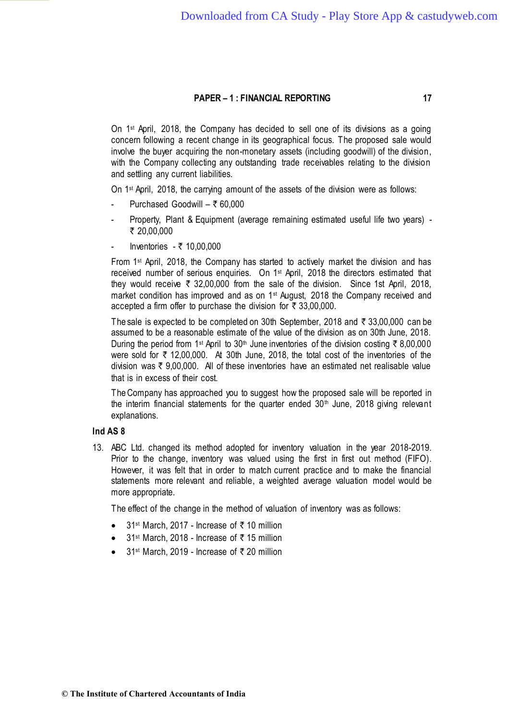On 1st April, 2018, the Company has decided to sell one of its divisions as a going concern following a recent change in its geographical focus. The proposed sale would involve the buyer acquiring the non-monetary assets (including goodwill) of the division, with the Company collecting any outstanding trade receivables relating to the division and settling any current liabilities.

On 1st April, 2018, the carrying amount of the assets of the division were as follows:

- Purchased Goodwill ₹ 60,000
- Property, Plant & Equipment (average remaining estimated useful life two years) -₹ 20.00.000
- Inventories  $-$  ₹ 10,00,000

From 1st April, 2018, the Company has started to actively market the division and has received number of serious enquiries. On 1st April, 2018 the directors estimated that they would receive  $\bar{\tau}$  32,00,000 from the sale of the division. Since 1st April, 2018, market condition has improved and as on 1<sup>st</sup> August, 2018 the Company received and accepted a firm offer to purchase the division for  $\bar{\tau}$  33,00,000.

The sale is expected to be completed on 30th September, 2018 and  $\bar{\tau}$  33,00,000 can be assumed to be a reasonable estimate of the value of the division as on 30th June, 2018. During the period from 1<sup>st</sup> April to 30<sup>th</sup> June inventories of the division costing  $\bar{\tau}$  8,00,000 were sold for  $\bar{\tau}$  12,00,000. At 30th June, 2018, the total cost of the inventories of the division was  $\bar{\tau}$  9,00,000. All of these inventories have an estimated net realisable value that is in excess of their cost.

The Company has approached you to suggest how the proposed sale will be reported in the interim financial statements for the quarter ended  $30<sup>th</sup>$  June, 2018 giving relevant explanations.

# **Ind AS 8**

13. ABC Ltd. changed its method adopted for inventory valuation in the year 2018-2019. Prior to the change, inventory was valued using the first in first out method (FIFO). However, it was felt that in order to match current practice and to make the financial statements more relevant and reliable, a weighted average valuation model would be more appropriate.

The effect of the change in the method of valuation of inventory was as follows:

- 31<sup>st</sup> March, 2017 Increase of  $\bar{\tau}$  10 million
- 31<sup>st</sup> March, 2018 Increase of  $\bar{\tau}$  15 million
- 31<sup>st</sup> March, 2019 Increase of  $\bar{\tau}$  20 million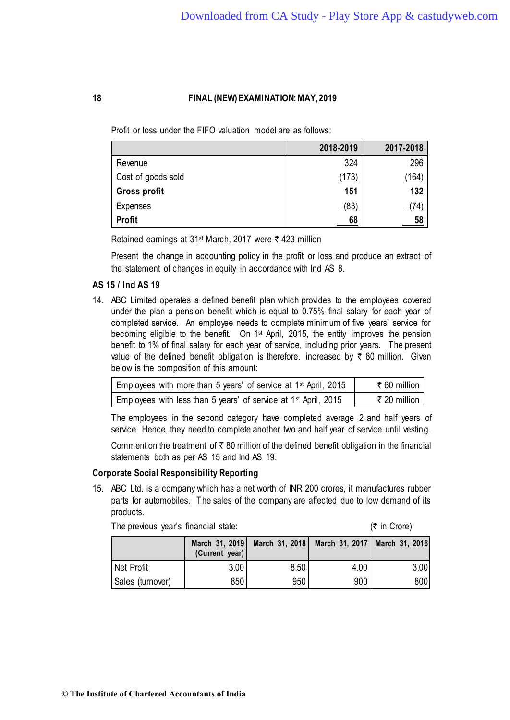Profit or loss under the FIFO valuation model are as follows:

|                    | 2018-2019 | 2017-2018 |
|--------------------|-----------|-----------|
| Revenue            | 324       | 296       |
| Cost of goods sold | (173)     | 164       |
| Gross profit       | 151       | 132       |
| Expenses           | (83)      | (74)      |
| <b>Profit</b>      | 68        | 58        |

Retained earnings at 31<sup>st</sup> March, 2017 were  $\bar{\tau}$  423 million

Present the change in accounting policy in the profit or loss and produce an extract of the statement of changes in equity in accordance with Ind AS 8.

# AS 15 / Ind AS 19

14. ABC Limited operates a defined benefit plan which provides to the employees covered under the plan a pension benefit which is equal to 0.75% final salary for each year of completed service. An employee needs to complete minimum of five years' service for becoming eligible to the benefit. On 1st April, 2015, the entity improves the pension benefit to 1% of final salary for each year of service, including prior years. The present value of the defined benefit obligation is therefore, increased by  $\bar{\tau}$  80 million. Given below is the composition of this amount:

| Employees with more than 5 years' of service at 1 <sup>st</sup> April, 2015 | ₹60 million  |
|-----------------------------------------------------------------------------|--------------|
| Employees with less than 5 years' of service at 1 <sup>st</sup> April, 2015 | ₹ 20 million |

The employees in the second category have completed average 2 and half years of service. Hence, they need to complete another two and half year of service until vesting.

Comment on the treatment of  $\bar{\tau}$  80 million of the defined benefit obligation in the financial statements both as per AS 15 and Ind AS 19.

## Corporate Social Responsibility Reporting

15. ABC Ltd. is a company which has a net worth of INR 200 crores, it manufactures rubber parts for automobiles. The sales of the company are affected due to low demand of its products.

|                  | (Current year) |      | March 31, 2019   March 31, 2018   March 31, 2017   March 31, 2016 |      |
|------------------|----------------|------|-------------------------------------------------------------------|------|
| Net Profit       | 3.00           | 8.50 | 4.00                                                              | 3.00 |
| Sales (turnover) | 850            | 950  | 900                                                               | 800  |

The previous year's financial state:  $(\bar{\tau})$  in Crore)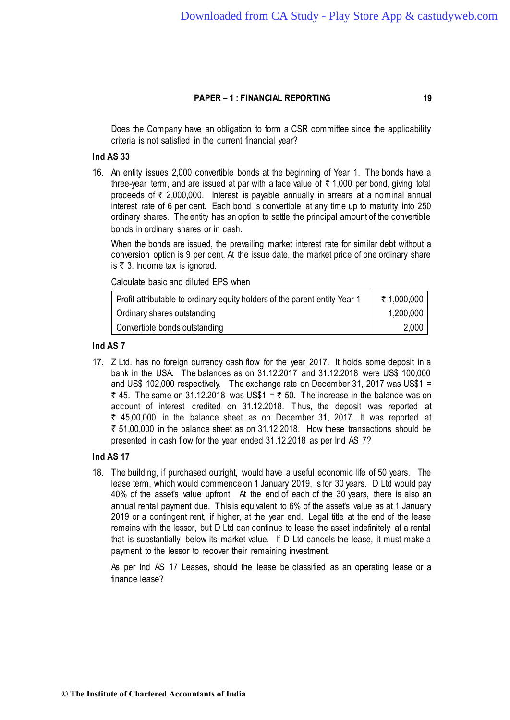Does the Company have an obligation to form a CSR committee since the applicability criteria is not satisfied in the current financial year?

### **Ind AS 33**

16. An entity issues 2,000 convertible bonds at the beginning of Year 1. The bonds have a three-year term, and are issued at par with a face value of  $\bar{\tau}$  1,000 per bond, giving total proceeds of  $\bar{\tau}$  2,000,000. Interest is payable annually in arrears at a nominal annual interest rate of 6 per cent. Each bond is convertible at any time up to maturity into 250 ordinary shares. The entity has an option to settle the principal amount of the convertible bonds in ordinary shares or in cash.

When the bonds are issued, the prevailing market interest rate for similar debt without a conversion option is 9 per cent. At the issue date, the market price of one ordinary share is  $\bar{\tau}$  3. Income tax is ignored.

Calculate basic and diluted EPS when

| Profit attributable to ordinary equity holders of the parent entity Year 1 | ₹ 1,000,000 |
|----------------------------------------------------------------------------|-------------|
| Ordinary shares outstanding                                                | 1,200,000   |
| Convertible bonds outstanding                                              | 2,000       |

#### Ind AS 7

17. Z Ltd. has no foreign currency cash flow for the year 2017. It holds some deposit in a bank in the USA. The balances as on 31.12.2017 and 31.12.2018 were US\$ 100,000 and US\$ 102,000 respectively. The exchange rate on December 31, 2017 was US\$1 = ₹ 45. The same on 31.12.2018 was US\$1 = ₹ 50. The increase in the balance was on account of interest credited on 31.12.2018. Thus, the deposit was reported at  $\bar{\tau}$  45,00,000 in the balance sheet as on December 31, 2017. It was reported at  $\bar{\tau}$  51,00,000 in the balance sheet as on 31.12.2018. How these transactions should be presented in cash flow for the year ended 31.12.2018 as per Ind AS 7?

# Ind AS 17

18. The building, if purchased outright, would have a useful economic life of 50 years. The lease term, which would commence on 1 January 2019, is for 30 years. D Ltd would pay 40% of the asset's value upfront. At the end of each of the 30 years, there is also an annual rental payment due. This is equivalent to 6% of the asset's value as at 1 January 2019 or a contingent rent, if higher, at the year end. Legal title at the end of the lease remains with the lessor, but D Ltd can continue to lease the asset indefinitely at a rental that is substantially below its market value. If D Ltd cancels the lease, it must make a payment to the lessor to recover their remaining investment.

As per Ind AS 17 Leases, should the lease be classified as an operating lease or a finance lease?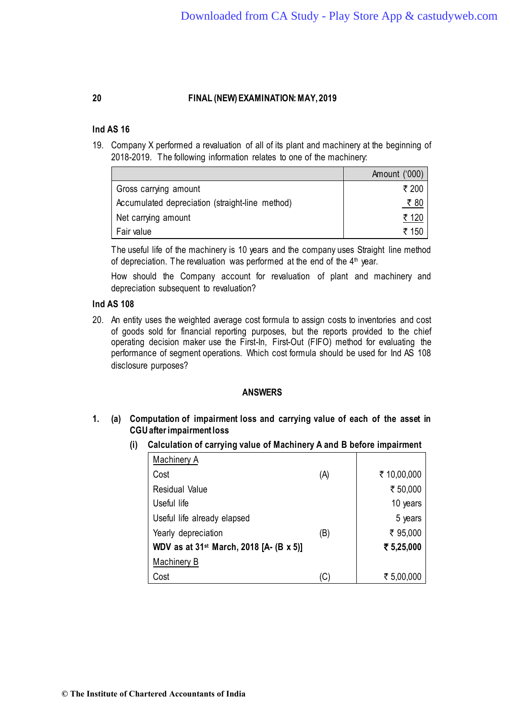## Ind AS 16

19. Company X performed a revaluation of all of its plant and machinery at the beginning of 2018-2019. The following information relates to one of the machinery:

|                                                 | Amount ('000) |
|-------------------------------------------------|---------------|
| Gross carrying amount                           | ₹ 200         |
| Accumulated depreciation (straight-line method) | ₹80           |
| Net carrying amount                             | ₹ 120         |
| Fair value                                      | ₹ 150         |

The useful life of the machinery is 10 years and the company uses Straight line method of depreciation. The revaluation was performed at the end of the 4<sup>th</sup> year.

How should the Company account for revaluation of plant and machinery and depreciation subsequent to revaluation?

# Ind AS 108

20. An entity uses the weighted average cost formula to assign costs to inventories and cost of goods sold for financial reporting purposes, but the reports provided to the chief operating decision maker use the First-In, First-Out (FIFO) method for evaluating the performance of segment operations. Which cost formula should be used for Ind AS 108 disclosure purposes?

#### **ANSWERS**

**1. (a) Computation of impairment loss and carrying value of each of the asset in CGU after impairment loss**

| Machinery A                                         |     |             |
|-----------------------------------------------------|-----|-------------|
| Cost                                                | (A) | ₹ 10,00,000 |
| Residual Value                                      |     | ₹ 50,000    |
| Useful life                                         |     | 10 years    |
| Useful life already elapsed                         |     | 5 years     |
| Yearly depreciation                                 | (B) | ₹ 95,000    |
| WDV as at 31 <sup>st</sup> March, 2018 [A- (B x 5)] |     | ₹ 5,25,000  |
| Machinery B                                         |     |             |
| Cost                                                | 'C  | ₹ 5,00,000  |

**(i) Calculation of carrying value of Machinery A and B before impairment**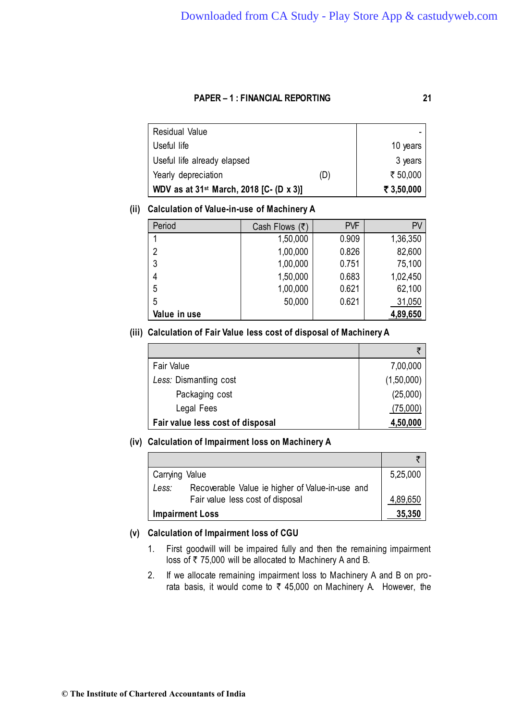**Residual Value** Useful life 10 years 10 years 10 years 10 years 10 years 10 years 10 years 10 years 10 years 10 years 10 years Useful life already elapsed and set of the 3 years Yearly depreciation  $(D)$   $\uparrow$   $\bar{\tau}$  50,000 **WDV as at 31st March, 2018 [C- (D x 3)]** ` **3,50,000** 

# **(ii) Calculation of Value-in-use of Machinery A**

| Period       | Cash Flows $(\bar{z})$ | <b>PVF</b> | PV       |
|--------------|------------------------|------------|----------|
|              | 1,50,000               | 0.909      | 1,36,350 |
| 2            | 1,00,000               | 0.826      | 82,600   |
| 3            | 1,00,000               | 0.751      | 75,100   |
| 4            | 1,50,000               | 0.683      | 1,02,450 |
| 5            | 1,00,000               | 0.621      | 62,100   |
| 5            | 50,000                 | 0.621      | 31,050   |
| Value in use |                        |            | 4,89,650 |

# **(iii) Calculation of Fair Value less cost of disposal of Machinery A**

| Fair Value                       | 7,00,000   |
|----------------------------------|------------|
| Less: Dismantling cost           | (1,50,000) |
| Packaging cost                   | (25,000)   |
| Legal Fees                       | (75,000)   |
| Fair value less cost of disposal | 4,50,000   |

## **(iv) Calculation of Impairment loss on Machinery A**

| Carrying Value                                           | 5,25,000 |
|----------------------------------------------------------|----------|
| Recoverable Value ie higher of Value-in-use and<br>Less: |          |
| Fair value less cost of disposal                         | 4,89,650 |
| <b>Impairment Loss</b>                                   | 35,350   |

## **(v) Calculation of Impairment loss of CGU**

- 1. First goodwill will be impaired fully and then the remaining impairment loss of  $\bar{\tau}$  75,000 will be allocated to Machinery A and B.
- 2. If we allocate remaining impairment loss to Machinery A and B on prorata basis, it would come to  $\bar{\tau}$  45,000 on Machinery A. However, the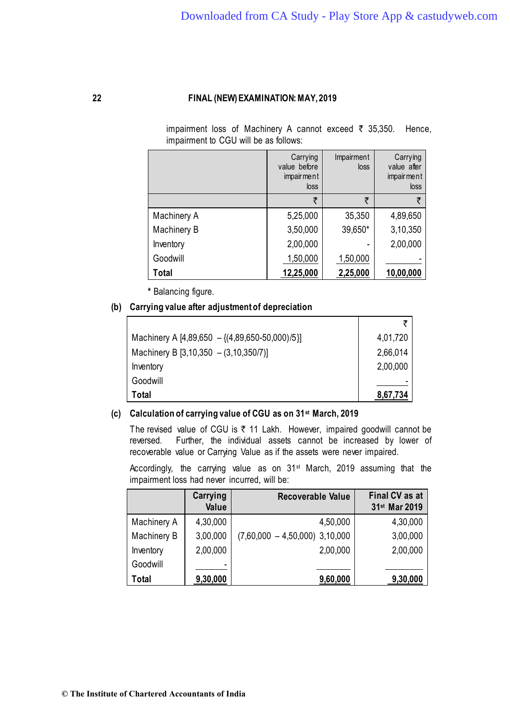ا<br>ا

# **22 FINAL (NEW)EXAMINATION:MAY,2019**

impairment loss of Machinery A cannot exceed  $\bar{\tau}$  35,350. Hence, impairment to CGU will be as follows:

|             | Carrying<br>value before<br>impair ment<br>loss | Impairment<br>loss | Carrying<br>value after<br>impairment<br>loss |
|-------------|-------------------------------------------------|--------------------|-----------------------------------------------|
|             | ₹                                               | ₹                  | ₹                                             |
| Machinery A | 5,25,000                                        | 35,350             | 4,89,650                                      |
| Machinery B | 3,50,000                                        | 39,650*            | 3,10,350                                      |
| Inventory   | 2,00,000                                        |                    | 2,00,000                                      |
| Goodwill    | 1,50,000                                        | 1,50,000           |                                               |
| Total       | 12,25,000                                       | 2,25,000           | 10,00,000                                     |

**\*** Balancing figure.

# **(b) Carrying value after adjustment of depreciation**

| Machinery A [4,89,650 - { $(4,89,650-50,000)/5$ }] | 4,01,720 |
|----------------------------------------------------|----------|
| Machinery B $[3,10,350 - (3,10,350/7)]$            | 2,66,014 |
| Inventory                                          | 2,00,000 |
| Goodwill                                           |          |
| Total                                              | 8,67,734 |

# **(c) Calculation of carrying value of CGU as on 31st March, 2019**

The revised value of CGU is  $\bar{\tau}$  11 Lakh. However, impaired goodwill cannot be reversed. Further, the individual assets cannot be increased by lower of recoverable value or Carrying Value as if the assets were never impaired.

Accordingly, the carrying value as on 31<sup>st</sup> March, 2019 assuming that the impairment loss had never incurred, will be:

|              | Carrying<br>Value | <b>Recoverable Value</b>         | Final CV as at<br>31st Mar 2019 |
|--------------|-------------------|----------------------------------|---------------------------------|
| Machinery A  | 4,30,000          | 4,50,000                         | 4,30,000                        |
| Machinery B  | 3,00,000          | $(7,60,000 - 4,50,000)$ 3,10,000 | 3,00,000                        |
| Inventory    | 2,00,000          | 2,00,000                         | 2,00,000                        |
| Goodwill     | -                 |                                  |                                 |
| <b>Total</b> | 9,30,000          | 9,60,000                         | 9,30,000                        |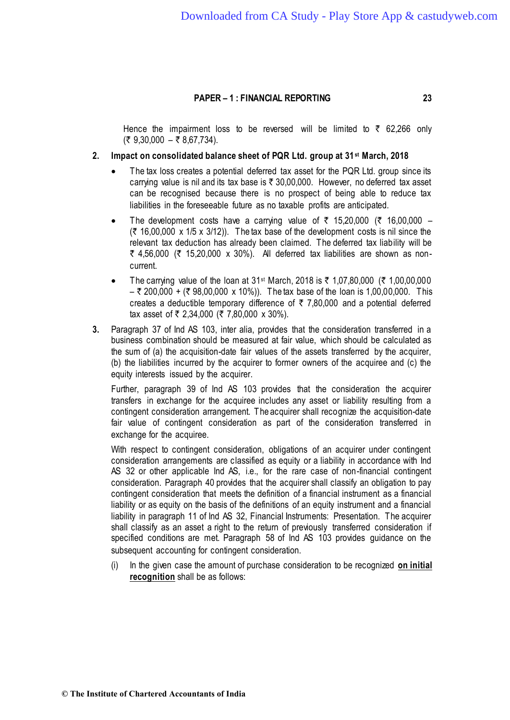Hence the impairment loss to be reversed will be limited to  $\bar{\tau}$  62,266 only  $(5, 9, 30, 000 - 5, 8, 67, 734).$ 

## **2. Impact on consolidated balance sheet of PQR Ltd. group at 31st March, 2018**

- The tax loss creates a potential deferred tax asset for the PQR Ltd. group since its carrying value is nil and its tax base is  $\bar{\tau}$  30,00,000. However, no deferred tax asset can be recognised because there is no prospect of being able to reduce tax liabilities in the foreseeable future as no taxable profits are anticipated.
- The development costs have a carrying value of  $\bar{\tau}$  15,20,000 ( $\bar{\tau}$  16,00,000  $(3.16,00,000 \times 1/5 \times 3/12)$ . The tax base of the development costs is nil since the relevant tax deduction has already been claimed. The deferred tax liability will be  $\bar{\tau}$  4,56,000 ( $\bar{\tau}$  15,20,000 x 30%). All deferred tax liabilities are shown as noncurrent.
- The carrying value of the loan at 31<sup>st</sup> March, 2018 is  $\bar{\tau}$  1,07,80,000 ( $\bar{\tau}$  1,00,00,000  $-$  ₹ 200,000 + (₹ 98,00,000 x 10%)). The tax base of the loan is 1,00,00,000. This creates a deductible temporary difference of  $\bar{\tau}$  7,80,000 and a potential deferred tax asset of  $\overline{\zeta}$  2,34,000 ( $\overline{\zeta}$  7,80,000 x 30%).
- **3.** Paragraph 37 of Ind AS 103, inter alia, provides that the consideration transferred in a business combination should be measured at fair value, which should be calculated as the sum of (a) the acquisition-date fair values of the assets transferred by the acquirer, (b) the liabilities incurred by the acquirer to former owners of the acquiree and (c) the equity interests issued by the acquirer.

Further, paragraph 39 of Ind AS 103 provides that the consideration the acquirer transfers in exchange for the acquiree includes any asset or liability resulting from a contingent consideration arrangement. The acquirer shall recognize the acquisition-date fair value of contingent consideration as part of the consideration transferred in exchange for the acquiree.

With respect to contingent consideration, obligations of an acquirer under contingent consideration arrangements are classified as equity or a liability in accordance with Ind AS 32 or other applicable Ind AS, i.e., for the rare case of non-financial contingent consideration. Paragraph 40 provides that the acquirer shall classify an obligation to pay contingent consideration that meets the definition of a financial instrument as a financial liability or as equity on the basis of the definitions of an equity instrument and a financial liability in paragraph 11 of Ind AS 32, Financial Instruments: Presentation. The acquirer shall classify as an asset a right to the return of previously transferred consideration if specified conditions are met. Paragraph 58 of Ind AS 103 provides guidance on the subsequent accounting for contingent consideration.

(i) In the given case the amount of purchase consideration to be recognized **on initial recognition** shall be as follows: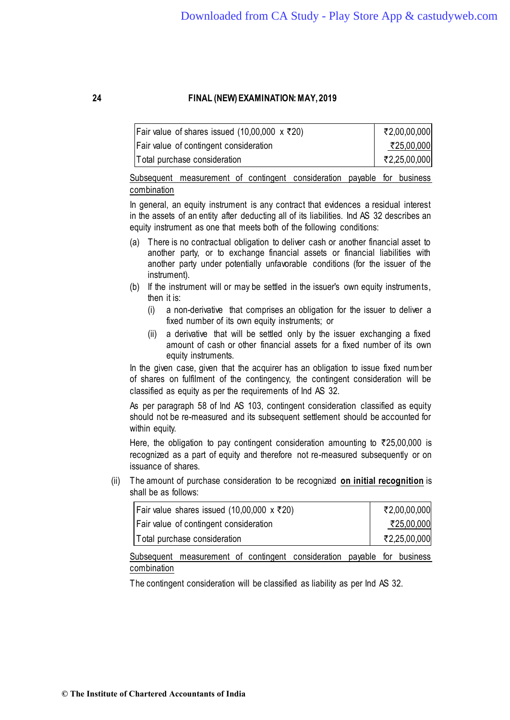| Fair value of shares issued (10,00,000 $\times$ ₹20) | ₹2,00,00,000 |
|------------------------------------------------------|--------------|
| Fair value of contingent consideration               | ₹25,00,000   |
| Total purchase consideration                         | ₹2,25,00,000 |

Subsequent measurement of contingent consideration payable for business combination

In general, an equity instrument is any contract that evidences a residual interest in the assets of an entity after deducting all of its liabilities. Ind AS 32 describes an equity instrument as one that meets both of the following conditions:

- (a) There is no contractual obligation to deliver cash or another financial asset to another party, or to exchange financial assets or financial liabilities with another party under potentially unfavorable conditions (for the issuer of the instrument).
- (b) If the instrument will or may be settled in the issuer's own equity instruments, then it is:
	- (i) a non-derivative that comprises an obligation for the issuer to deliver a fixed number of its own equity instruments; or
	- (ii) a derivative that will be settled only by the issuer exchanging a fixed amount of cash or other financial assets for a fixed number of its own equity instruments.

In the given case, given that the acquirer has an obligation to issue fixed number of shares on fulfilment of the contingency, the contingent consideration will be classified as equity as per the requirements of Ind AS 32.

As per paragraph 58 of Ind AS 103, contingent consideration classified as equity should not be re-measured and its subsequent settlement should be accounted for within equity.

Here, the obligation to pay contingent consideration amounting to  $\overline{\xi}$ 25,00,000 is recognized as a part of equity and therefore not re-measured subsequently or on issuance of shares.

(ii) The amount of purchase consideration to be recognized **on initial recognition** is shall be as follows:

| Fair value shares issued (10,00,000 x ₹20)    | ₹2,00,00,000 |
|-----------------------------------------------|--------------|
| <b>Fair value of contingent consideration</b> | ₹25,00,000   |
| Total purchase consideration                  | ₹2,25,00,000 |

Subsequent measurement of contingent consideration payable for business combination

The contingent consideration will be classified as liability as per Ind AS 32.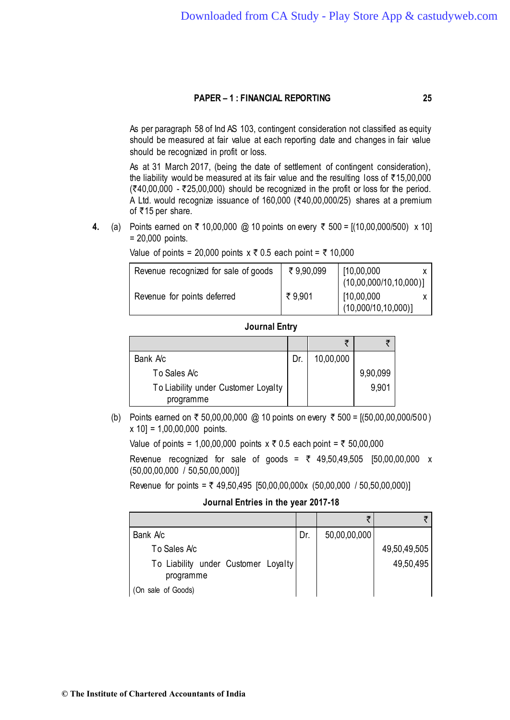As per paragraph 58 of Ind AS 103, contingent consideration not classified as equity should be measured at fair value at each reporting date and changes in fair value should be recognized in profit or loss.

As at 31 March 2017, (being the date of settlement of contingent consideration), the liability would be measured at its fair value and the resulting loss of  $\bar{\tau}$ 15,00,000  $(340,00,000 - 325,00,000)$  should be recognized in the profit or loss for the period. A Ltd. would recognize issuance of 160,000 ( $\overline{\zeta}$ 40,00,000/25) shares at a premium of  $\overline{5}$ 15 per share.

**4.** (a) Points earned on  $\bar{\tau}$  10,00,000 @ 10 points on every  $\bar{\tau}$  500 = [(10,00,000/500) x 10] = 20,000 points.

| Revenue recognized for sale of goods | ₹9,90,099 | [10,00,000]<br>(10,00,000/10,10,000)] |  |
|--------------------------------------|-----------|---------------------------------------|--|
| Revenue for points deferred          | ₹9,901    | [10,00,000]<br>(10,000/10,10,000)]    |  |

Value of points = 20,000 points  $x \bar{\tau}$  0.5 each point =  $\bar{\tau}$  10,000

#### **Journal Entry**

| Bank Ac                             | Dr. | 10,00,000 |          |
|-------------------------------------|-----|-----------|----------|
| To Sales Ac                         |     |           | 9,90,099 |
| To Liability under Customer Loyalty |     |           | 9,901    |
| programme                           |     |           |          |

(b) Points earned on ₹ 50,00,00,000 @ 10 points on every ₹ 500 = [(50,00,00,000/500) x 10] = 1,00,00,000 points.

Value of points = 1,00,00,000 points  $x \bar{x}$  0.5 each point =  $\bar{x}$  50,00,000

Revenue recognized for sale of goods =  $\bar{\tau}$  49,50,49,505 [50,00,00,000 x (50,00,00,000 / 50,50,00,000)]

Revenue for points =  $\overline{z}$  49,50,495 [50,00,00,000x (50,00,000 / 50,50,00,000)]

### **Journal Entries in the year 2017-18**

| Bank Ac                                          | Dr. | 50,00,00,000 |              |
|--------------------------------------------------|-----|--------------|--------------|
| To Sales Ac                                      |     |              | 49,50,49,505 |
| To Liability under Customer Loyalty<br>programme |     |              | 49,50,495    |
| (On sale of Goods)                               |     |              |              |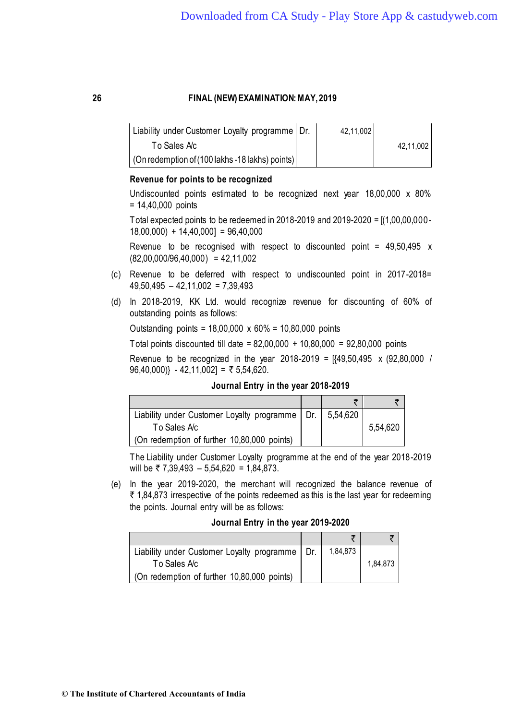| Liability under Customer Loyalty programme   Dr.        | 42,11,002 |           |
|---------------------------------------------------------|-----------|-----------|
| To Sales Ac                                             |           | 42,11,002 |
| $\vert$ (On redemption of (100 lakhs -18 lakhs) points) |           |           |

## **Revenue for points to be recognized**

Undiscounted points estimated to be recognized next year 18,00,000 x 80%  $= 14,40,000$  points

Total expected points to be redeemed in 2018-2019 and 2019-2020 = [(1,00,00,000-  $18,00,000$  +  $14,40,000$  = 96,40,000

Revenue to be recognised with respect to discounted point =  $49.50.495 \times$  $(82,00,000/96,40,000) = 42,11,002$ 

- (c) Revenue to be deferred with respect to undiscounted point in 2017-2018=  $49,50,495 - 42,11,002 = 7,39,493$
- (d) In 2018-2019, KK Ltd. would recognize revenue for discounting of 60% of outstanding points as follows:

Outstanding points = 18,00,000 x 60% = 10,80,000 points

Total points discounted till date = 82,00,000 + 10,80,000 = 92,80,000 points

Revenue to be recognized in the year 2018-2019 =  $[49,50,495 \times (92,80,000)$  $96,40,000$ } - 42,11,002] = ₹ 5,54,620.

**Journal Entry in the year 2018-2019**

| Liability under Customer Loyalty programme   Dr.   5,54,620 |  |          |
|-------------------------------------------------------------|--|----------|
| To Sales Ac                                                 |  | 5,54,620 |
| Con redemption of further 10,80,000 points)                 |  |          |

The Liability under Customer Loyalty programme at the end of the year 2018-2019 will be  $\overline{z}$  7,39,493 – 5,54,620 = 1,84,873.

(e) In the year 2019-2020, the merchant will recognized the balance revenue of  $\bar{\tau}$  1,84,873 irrespective of the points redeemed as this is the last year for redeeming the points. Journal entry will be as follows:

|  |  |  |  | Journal Entry in the year 2019-2020 |  |
|--|--|--|--|-------------------------------------|--|
|--|--|--|--|-------------------------------------|--|

| Liability under Customer Loyalty programme   Dr. | 1,84,873 |          |
|--------------------------------------------------|----------|----------|
| To Sales Ac                                      |          | 1,84,873 |
| (On redemption of further 10,80,000 points)      |          |          |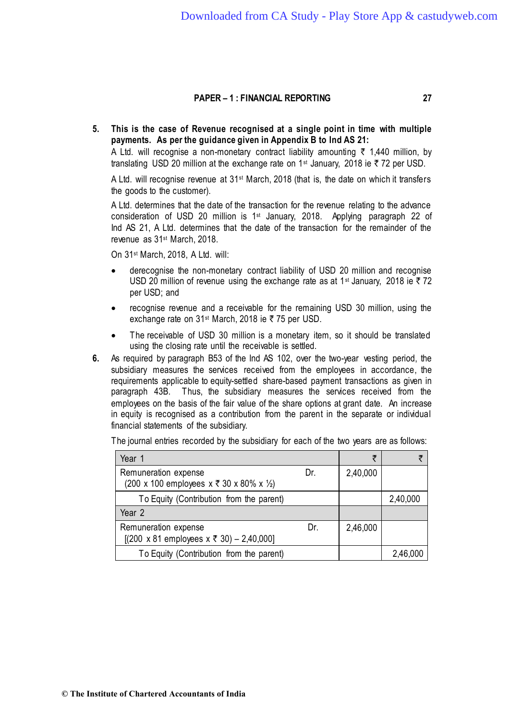**5. This is the case of Revenue recognised at a single point in time with multiple payments. As per the guidance given in Appendix B to Ind AS 21:**

A Ltd. will recognise a non-monetary contract liability amounting  $\bar{\tau}$  1,440 million, by translating USD 20 million at the exchange rate on 1<sup>st</sup> January, 2018 ie  $\bar{\tau}$  72 per USD.

A Ltd. will recognise revenue at 31st March, 2018 (that is, the date on which it transfers the goods to the customer).

A Ltd. determines that the date of the transaction for the revenue relating to the advance consideration of USD 20 million is 1st January, 2018. Applying paragraph 22 of Ind AS 21, A Ltd. determines that the date of the transaction for the remainder of the revenue as 31st March, 2018.

On 31st March, 2018, A Ltd. will:

- derecognise the non-monetary contract liability of USD 20 million and recognise USD 20 million of revenue using the exchange rate as at 1<sup>st</sup> January, 2018 ie  $\bar{\tau}$  72 per USD; and
- recognise revenue and a receivable for the remaining USD 30 million, using the exchange rate on 31<sup>st</sup> March, 2018 ie  $\overline{\tau}$  75 per USD.
- The receivable of USD 30 million is a monetary item, so it should be translated using the closing rate until the receivable is settled.
- **6.** As required by [paragraph B53](http://eifrs.ifrs.org/eifrs/ViewContent?collection=2018_Annotated_Issued_Standards_(Red_Book)&fn=IFRS02o_2004-02-01_en-6.html&scrollTo=F9035832) of the Ind AS 102, over the two-year vesting period, the subsidiary measures the services received from the employees in accordance, the requirements applicable to equity-settled share-based payment transactions as given in [paragraph 43B.](http://eifrs.ifrs.org/eifrs/ViewContent?collection=2018_Annotated_Issued_Standards_(Red_Book)&fn=IFRS02o_2004-02-01_en-4.html&scrollTo=F9035637) Thus, the subsidiary measures the services received from the employees on the basis of the fair value of the share options at grant date. An increase in equity is recognised as a contribution from the parent in the separate or individual financial statements of the subsidiary.

| Year 1                                                                                       |     | ₹        | Ŧ        |
|----------------------------------------------------------------------------------------------|-----|----------|----------|
| Remuneration expense<br>(200 x 100 employees x ₹ 30 x 80% x ½)                               | Dr. | 2,40,000 |          |
| To Equity (Contribution from the parent)                                                     |     |          | 2,40,000 |
| Year 2                                                                                       |     |          |          |
| Remuneration expense<br>$[(200 \times 81 \text{ employees } x \bar{z} \bar{30}) - 2,40,000]$ | Dr. | 2,46,000 |          |
| To Equity (Contribution from the parent)                                                     |     |          | 2,46,000 |

The journal entries recorded by the subsidiary for each of the two years are as follows: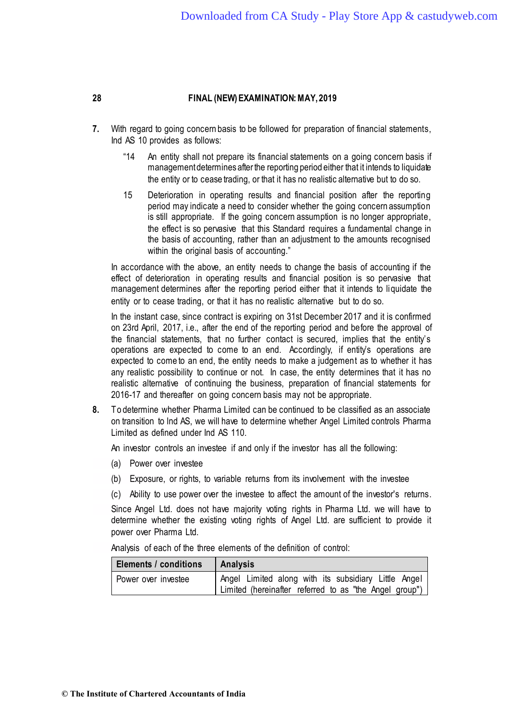- **7.** With regard to going concern basis to be followed for preparation of financial statements, Ind AS 10 provides as follows:
	- "14 An entity shall not prepare its financial statements on a going concern basis if management determines after the reporting period either that it intends to liquidate the entity or to cease trading, or that it has no realistic alternative but to do so.
	- 15 Deterioration in operating results and financial position after the reporting period may indicate a need to consider whether the going concern assumption is still appropriate. If the going concern assumption is no longer appropriate, the effect is so pervasive that this Standard requires a fundamental change in the basis of accounting, rather than an adjustment to the amounts recognised within the original basis of accounting."

In accordance with the above, an entity needs to change the basis of accounting if the effect of deterioration in operating results and financial position is so pervasive that management determines after the reporting period either that it intends to liquidate the entity or to cease trading, or that it has no realistic alternative but to do so.

In the instant case, since contract is expiring on 31st December 2017 and it is confirmed on 23rd April, 2017, i.e., after the end of the reporting period and before the approval of the financial statements, that no further contact is secured, implies that the entity's operations are expected to come to an end. Accordingly, if entity's operations are expected to come to an end, the entity needs to make a judgement as to whether it has any realistic possibility to continue or not. In case, the entity determines that it has no realistic alternative of continuing the business, preparation of financial statements for 2016-17 and thereafter on going concern basis may not be appropriate.

**8.** To determine whether Pharma Limited can be continued to be classified as an associate on transition to lnd AS, we will have to determine whether Angel Limited controls Pharma Limited as defined under Ind AS 110.

An investor controls an investee if and only if the investor has all the following:

- (a) Power over investee
- (b) Exposure, or rights, to variable returns from its involvement with the investee
- (c) Ability to use power over the investee to affect the amount of the investor's returns.

Since Angel Ltd. does not have majority voting rights in Pharma Ltd. we will have to determine whether the existing voting rights of Angel Ltd. are sufficient to provide it power over Pharma Ltd.

Analysis of each of the three elements of the definition of control:

| <b>Elements / conditions</b> | Analysis                                               |
|------------------------------|--------------------------------------------------------|
| Power over investee          | Angel Limited along with its subsidiary Little Angel   |
|                              | Limited (hereinafter referred to as "the Angel group") |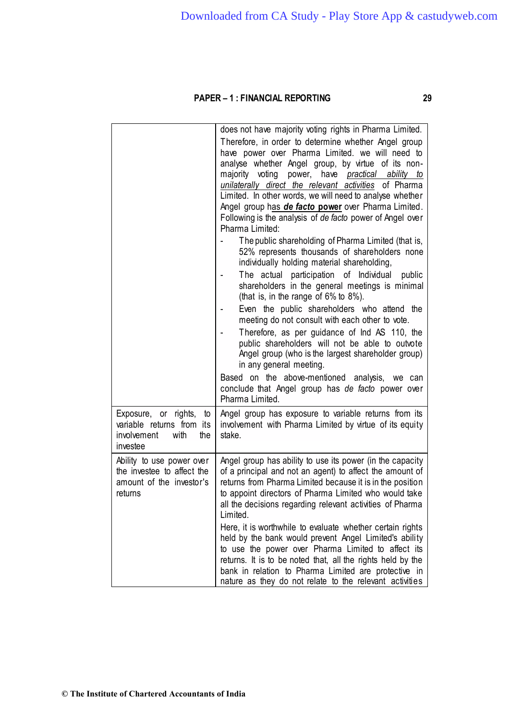|                                                                                                | does not have majority voting rights in Pharma Limited.<br>Therefore, in order to determine whether Angel group<br>have power over Pharma Limited. we will need to<br>analyse whether Angel group, by virtue of its non-<br>majority voting<br>power, have practical ability to<br>unilaterally direct the relevant activities of Pharma<br>Limited. In other words, we will need to analyse whether<br>Angel group has de facto power over Pharma Limited.<br>Following is the analysis of de facto power of Angel over<br>Pharma Limited:<br>The public shareholding of Pharma Limited (that is,<br>52% represents thousands of shareholders none<br>individually holding material shareholding,<br>The actual participation of Individual public<br>shareholders in the general meetings is minimal<br>(that is, in the range of 6% to 8%).<br>Even the public shareholders who attend the<br>meeting do not consult with each other to vote.<br>Therefore, as per guidance of Ind AS 110, the<br>public shareholders will not be able to outvote<br>Angel group (who is the largest shareholder group)<br>in any general meeting.<br>Based on the above-mentioned analysis, we can<br>conclude that Angel group has de facto power over |
|------------------------------------------------------------------------------------------------|---------------------------------------------------------------------------------------------------------------------------------------------------------------------------------------------------------------------------------------------------------------------------------------------------------------------------------------------------------------------------------------------------------------------------------------------------------------------------------------------------------------------------------------------------------------------------------------------------------------------------------------------------------------------------------------------------------------------------------------------------------------------------------------------------------------------------------------------------------------------------------------------------------------------------------------------------------------------------------------------------------------------------------------------------------------------------------------------------------------------------------------------------------------------------------------------------------------------------------------------|
| Exposure, or rights, to<br>variable returns from its<br>involvement<br>with<br>the<br>investee | Pharma Limited.<br>Angel group has exposure to variable returns from its<br>involvement with Pharma Limited by virtue of its equity<br>stake.                                                                                                                                                                                                                                                                                                                                                                                                                                                                                                                                                                                                                                                                                                                                                                                                                                                                                                                                                                                                                                                                                               |
| Ability to use power over<br>the investee to affect the<br>amount of the investor's<br>returns | Angel group has ability to use its power (in the capacity<br>of a principal and not an agent) to affect the amount of<br>returns from Pharma Limited because it is in the position<br>to appoint directors of Pharma Limited who would take<br>all the decisions regarding relevant activities of Pharma<br>Limited.<br>Here, it is worthwhile to evaluate whether certain rights<br>held by the bank would prevent Angel Limited's ability<br>to use the power over Pharma Limited to affect its<br>returns. It is to be noted that, all the rights held by the<br>bank in relation to Pharma Limited are protective in<br>nature as they do not relate to the relevant activities                                                                                                                                                                                                                                                                                                                                                                                                                                                                                                                                                         |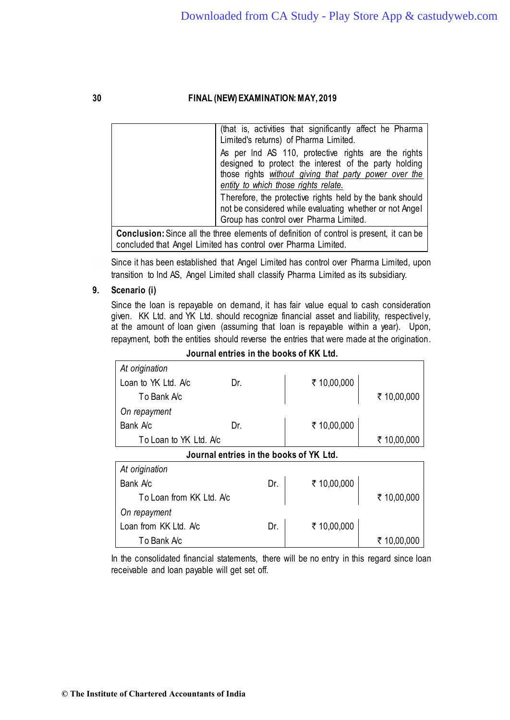|                                                                                                | (that is, activities that significantly affect he Pharma<br>Limited's returns) of Pharma Limited.                                                                     |  |
|------------------------------------------------------------------------------------------------|-----------------------------------------------------------------------------------------------------------------------------------------------------------------------|--|
|                                                                                                | As per Ind AS 110, protective rights are the rights<br>designed to protect the interest of the party holding<br>those rights without giving that party power over the |  |
|                                                                                                | entity to which those rights relate.<br>Therefore, the protective rights held by the bank should                                                                      |  |
|                                                                                                | not be considered while evaluating whether or not Angel<br>Group has control over Pharma Limited.                                                                     |  |
| <b>Conclusion:</b> Since all the three elements of definition of control is present, it can be |                                                                                                                                                                       |  |

**Conclusion:** Since all the three elements of definition of control is present, it can be concluded that Angel Limited has control over Pharma Limited.

Since it has been established that Angel Limited has control over Pharma Limited, upon transition to lnd AS, Angel Limited shall classify Pharma Limited as its subsidiary.

# **9. Scenario (i)**

Since the loan is repayable on demand, it has fair value equal to cash consideration given. KK Ltd. and YK Ltd. should recognize financial asset and liability, respectively, at the amount of loan given (assuming that loan is repayable within a year). Upon, repayment, both the entities should reverse the entries that were made at the origination.

*At origination* Loan to YK Ltd. A/c Dr.  $\frac{1}{2}$  10,00,000 To Bank A/c  $\parallel$  ₹ 10,00,000 *On repayment* Bank A/c Dr. Dr. ₹ 10,00,000 To Loan to YK Ltd. A/c 10,00,000 1 10 10,00,000 **Journal entries in the books of YK Ltd.** *At origination* Bank A/c Dr. | ₹ 10,00,000 To Loan from KK Ltd. A/c 10,00,000 1 10.00,000 *On repayment* Loan from KK Ltd. A/c Dr.  $\vert \bar{\tau} \vert$  10,00,000 To Bank A/c  $\vert$   $\vert$  ₹ 10,00,000

**Journal entries in the books of KK Ltd.**

In the consolidated financial statements, there will be no entry in this regard since loan receivable and loan payable will get set off.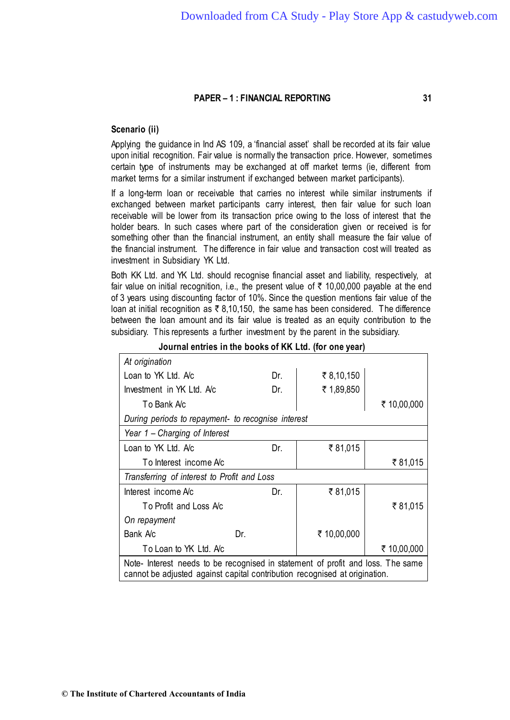### **Scenario (ii)**

Applying the guidance in Ind AS 109, a 'financial asset' shall be recorded at its fair value upon initial recognition. Fair value is normally the transaction price. However, sometimes certain type of instruments may be exchanged at off market terms (ie, different from market terms for a similar instrument if exchanged between market participants).

If a long-term loan or receivable that carries no interest while similar instruments if exchanged between market participants carry interest, then fair value for such loan receivable will be lower from its transaction price owing to the loss of interest that the holder bears. In such cases where part of the consideration given or received is for something other than the financial instrument, an entity shall measure the fair value of the financial instrument. The difference in fair value and transaction cost will treated as investment in Subsidiary YK Ltd.

Both KK Ltd. and YK Ltd. should recognise financial asset and liability, respectively, at fair value on initial recognition, i.e., the present value of  $\bar{\tau}$  10,00,000 payable at the end of 3 years using discounting factor of 10%. Since the question mentions fair value of the loan at initial recognition as  $\bar{\tau}$  8,10,150, the same has been considered. The difference between the loan amount and its fair value is treated as an equity contribution to the subsidiary. This represents a further investment by the parent in the subsidiary.

| At origination                                                                                                                                                |     |             |             |  |
|---------------------------------------------------------------------------------------------------------------------------------------------------------------|-----|-------------|-------------|--|
| Loan to YK Ltd. Ac                                                                                                                                            | Dr. | ₹8,10,150   |             |  |
| Investment in YK Ltd. Ac                                                                                                                                      | Dr. | ₹ 1,89,850  |             |  |
| To Bank A/c                                                                                                                                                   |     |             | ₹ 10,00,000 |  |
| During periods to repayment- to recognise interest                                                                                                            |     |             |             |  |
| Year 1 – Charging of Interest                                                                                                                                 |     |             |             |  |
| Loan to YK Ltd. Ac                                                                                                                                            | Dr. | ₹81,015     |             |  |
| To Interest income Ac                                                                                                                                         |     |             | ₹81,015     |  |
| Transferring of interest to Profit and Loss                                                                                                                   |     |             |             |  |
| Interest income Ac                                                                                                                                            | Dr. | ₹81,015     |             |  |
| To Profit and Loss Ac                                                                                                                                         |     |             | ₹81,015     |  |
| On repayment                                                                                                                                                  |     |             |             |  |
| Bank Ac                                                                                                                                                       | Dr. | ₹ 10,00,000 |             |  |
| To Loan to YK Ltd. Ac                                                                                                                                         |     |             | ₹ 10,00,000 |  |
| Note- Interest needs to be recognised in statement of profit and loss. The same<br>cannot be adjusted against capital contribution recognised at origination. |     |             |             |  |

**Journal entries in the books of KK Ltd. (for one year)**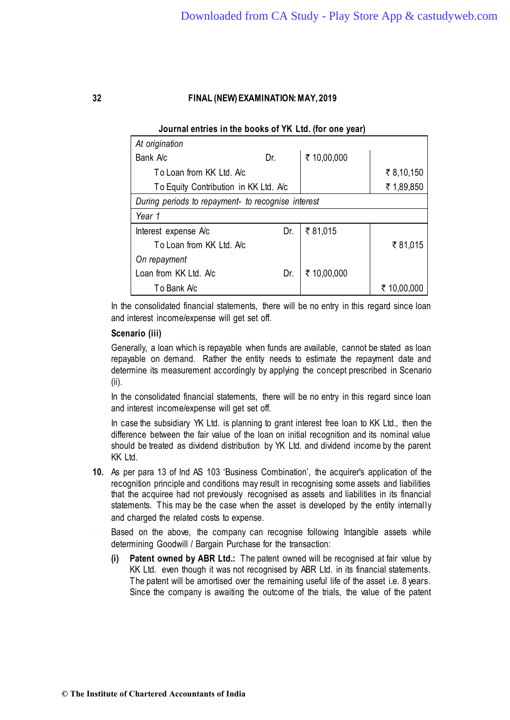### **Journal entries in the books of YK Ltd. (for one year)**

| At origination                                     |     |             |             |
|----------------------------------------------------|-----|-------------|-------------|
| Bank Ac                                            | Dr. | ₹ 10,00,000 |             |
| To Loan from KK Ltd. Ac                            |     |             | ₹8,10,150   |
| To Equity Contribution in KK Ltd. Ac               |     |             | ₹ 1,89,850  |
| During periods to repayment- to recognise interest |     |             |             |
| Year 1                                             |     |             |             |
| Interest expense A/c                               | Dr. | ₹81,015     |             |
| To Loan from KK Ltd. Ac                            |     |             | ₹81,015     |
| On repayment                                       |     |             |             |
| Loan from KK Ltd. Ac                               | Dr. | ₹ 10,00,000 |             |
| To Bank Ac                                         |     |             | ₹ 10,00,000 |

In the consolidated financial statements, there will be no entry in this regard since loan and interest income/expense will get set off.

### **Scenario (iii)**

Generally, a loan which is repayable when funds are available, cannot be stated as loan repayable on demand. Rather the entity needs to estimate the repayment date and determine its measurement accordingly by applying the concept prescribed in Scenario (ii).

In the consolidated financial statements, there will be no entry in this regard since loan and interest income/expense will get set off.

In case the subsidiary YK Ltd. is planning to grant interest free loan to KK Ltd., then the difference between the fair value of the loan on initial recognition and its nominal value should be treated as dividend distribution by YK Ltd. and dividend income by the parent KK Ltd.

**10.** As per para 13 of Ind AS 103 'Business Combination', the acquirer's application of the recognition principle and conditions may result in recognising some assets and liabilities that the acquiree had not previously recognised as assets and liabilities in its financial statements. This may be the case when the asset is developed by the entity internally and charged the related costs to expense.

Based on the above, the company can recognise following Intangible assets while determining Goodwill / Bargain Purchase for the transaction:

**(i) Patent owned by ABR Ltd.:** The patent owned will be recognised at fair value by KK Ltd. even though it was not recognised by ABR Ltd. in its financial statements. The patent will be amortised over the remaining useful life of the asset i.e. 8 years. Since the company is awaiting the outcome of the trials, the value of the patent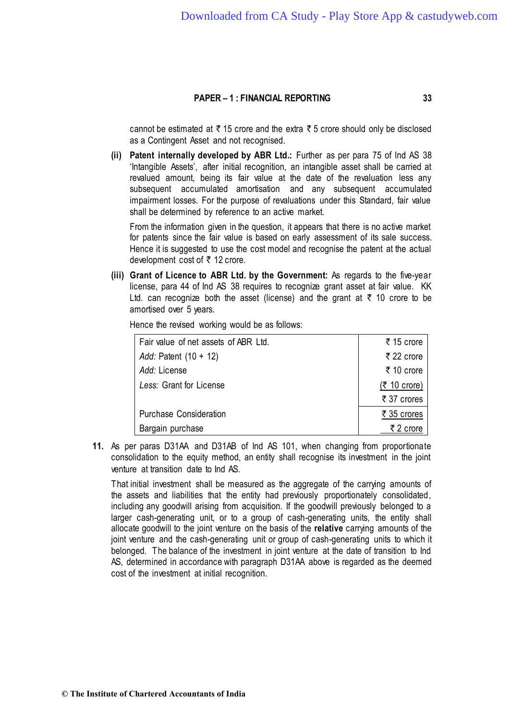cannot be estimated at  $\bar{\tau}$  15 crore and the extra  $\bar{\tau}$  5 crore should only be disclosed as a Contingent Asset and not recognised.

**(ii) Patent internally developed by ABR Ltd.:** Further as per para 75 of lnd AS 38 'Intangible Assets', after initial recognition, an intangible asset shall be carried at revalued amount, being its fair value at the date of the revaluation less any subsequent accumulated amortisation and any subsequent accumulated impairment losses. For the purpose of revaluations under this Standard, fair value shall be determined by reference to an active market.

From the information given in the question, it appears that there is no active market for patents since the fair value is based on early assessment of its sale success. Hence it is suggested to use the cost model and recognise the patent at the actual development cost of  $\bar{\tau}$  12 crore.

**(iii) Grant of Licence to ABR Ltd. by the Government:** As regards to the five-year license, para 44 of Ind AS 38 requires to recognize grant asset at fair value. KK Ltd. can recognize both the asset (license) and the grant at  $\bar{\tau}$  10 crore to be amortised over 5 years.

Hence the revised working would be as follows:

| Fair value of net assets of ABR Ltd. | ₹15 crore              |
|--------------------------------------|------------------------|
| Add: Patent $(10 + 12)$              | ₹ 22 crore             |
| Add: License                         | ₹ 10 crore             |
| Less: Grant for License              | $(5, 10 \text{ core})$ |
|                                      | ₹ 37 crores            |
| <b>Purchase Consideration</b>        | ₹ 35 crores            |
| Bargain purchase                     | ₹ 2 crore              |

**11.** As per paras D31AA and D31AB of Ind AS 101, when changing from proportionate consolidation to the equity method, an entity shall recognise its investment in the joint venture at transition date to Ind AS.

That initial investment shall be measured as the aggregate of the carrying amounts of the assets and liabilities that the entity had previously proportionately consolidated, including any goodwill arising from acquisition. If the goodwill previously belonged to a larger cash-generating unit, or to a group of cash-generating units, the entity shall allocate goodwill to the joint venture on the basis of the **relative** carrying amounts of the joint venture and the cash-generating unit or group of cash-generating units to which it belonged. The balance of the investment in joint venture at the date of transition to Ind AS, determined in accordance with paragraph D31AA above is regarded as the deemed cost of the investment at initial recognition.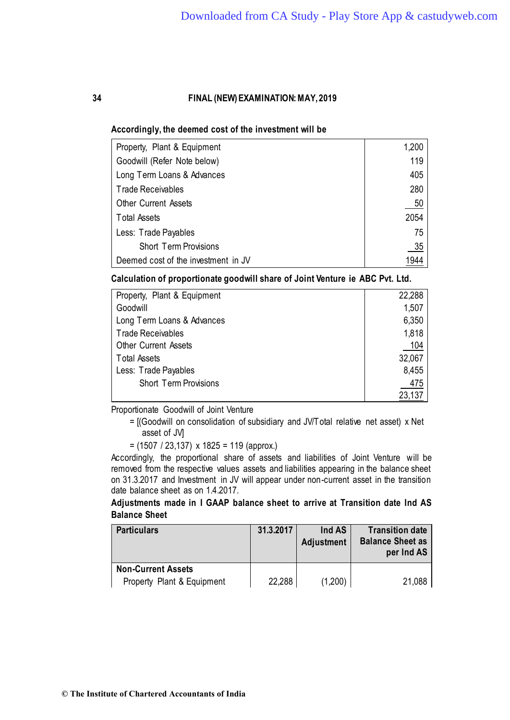### **Accordingly, the deemed cost of the investment will be**

| Property, Plant & Equipment         | 1,200 |
|-------------------------------------|-------|
| Goodwill (Refer Note below)         | 119   |
| Long Term Loans & Advances          | 405   |
| <b>Trade Receivables</b>            | 280   |
| <b>Other Current Assets</b>         | 50    |
| <b>Total Assets</b>                 | 2054  |
| Less: Trade Payables                | 75    |
| <b>Short Term Provisions</b>        | 35    |
| Deemed cost of the investment in JV | 1944  |

**Calculation of proportionate goodwill share of Joint Venture ie ABC Pvt. Ltd.**

| Property, Plant & Equipment  | 22,288 |
|------------------------------|--------|
| Goodwill                     | 1,507  |
| Long Term Loans & Advances   | 6,350  |
| <b>Trade Receivables</b>     | 1,818  |
| <b>Other Current Assets</b>  | 104    |
| <b>Total Assets</b>          | 32,067 |
| Less: Trade Payables         | 8,455  |
| <b>Short Term Provisions</b> | 475    |
|                              | 23,137 |

Proportionate Goodwill of Joint Venture

= [(Goodwill on consolidation of subsidiary and JV/Total relative net asset) x Net asset of JV]

= (1507 / 23,137) x 1825 = 119 (approx.)

Accordingly, the proportional share of assets and liabilities of Joint Venture will be removed from the respective values assets and liabilities appearing in the balance sheet on 31.3.2017 and Investment in JV will appear under non-current asset in the transition date balance sheet as on 1.4.2017.

# **Adjustments made in I GAAP balance sheet to arrive at Transition date Ind AS Balance Sheet**

| <b>Particulars</b>         | 31.3.2017 | Ind AS<br>Adjustment | <b>Transition date</b><br><b>Balance Sheet as</b><br>per Ind AS |
|----------------------------|-----------|----------------------|-----------------------------------------------------------------|
| <b>Non-Current Assets</b>  |           |                      |                                                                 |
| Property Plant & Equipment | 22,288    | (1,200)              | 21,088                                                          |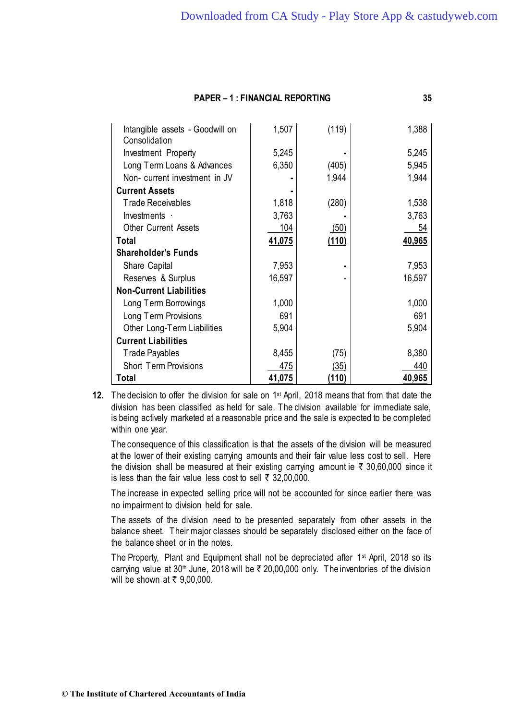| Intangible assets - Goodwill on<br>Consolidation | 1,507  | (119) | 1,388  |
|--------------------------------------------------|--------|-------|--------|
| Investment Property                              | 5,245  |       | 5,245  |
| Long Term Loans & Advances                       | 6,350  | (405) | 5,945  |
| Non- current investment in JV                    |        | 1,944 | 1,944  |
| <b>Current Assets</b>                            |        |       |        |
| <b>Trade Receivables</b>                         | 1,818  | (280) | 1,538  |
| Investments ·                                    | 3,763  |       | 3,763  |
| <b>Other Current Assets</b>                      | 104    | (50)  | 54     |
| Total                                            | 41,075 | (110) | 40,965 |
| <b>Shareholder's Funds</b>                       |        |       |        |
| Share Capital                                    | 7,953  |       | 7,953  |
| Reserves & Surplus                               | 16,597 |       | 16,597 |
| <b>Non-Current Liabilities</b>                   |        |       |        |
| Long Term Borrowings                             | 1,000  |       | 1,000  |
| Long Term Provisions                             | 691    |       | 691    |
| Other Long-Term Liabilities                      | 5,904  |       | 5,904  |
| <b>Current Liabilities</b>                       |        |       |        |
| <b>Trade Payables</b>                            | 8,455  | (75)  | 8,380  |
| <b>Short Term Provisions</b>                     | 475    | (35)  | 440    |
| Total                                            | 41,075 | (110) | 40,965 |

**12.** The decision to offer the division for sale on 1<sup>st</sup> April, 2018 means that from that date the division has been classified as held for sale. The division available for immediate sale, is being actively marketed at a reasonable price and the sale is expected to be completed within one year.

The consequence of this classification is that the assets of the division will be measured at the lower of their existing carrying amounts and their fair value less cost to sell. Here the division shall be measured at their existing carrying amount ie  $\bar{\tau}$  30,60,000 since it is less than the fair value less cost to sell  $\bar{\tau}$  32,00,000.

The increase in expected selling price will not be accounted for since earlier there was no impairment to division held for sale.

The assets of the division need to be presented separately from other assets in the balance sheet. Their major classes should be separately disclosed either on the face of the balance sheet or in the notes.

The Property, Plant and Equipment shall not be depreciated after 1<sup>st</sup> April, 2018 so its carrying value at 30<sup>th</sup> June, 2018 will be  $\bar{\tau}$  20,00,000 only. The inventories of the division will be shown at  $\bar{\tau}$  9,00,000.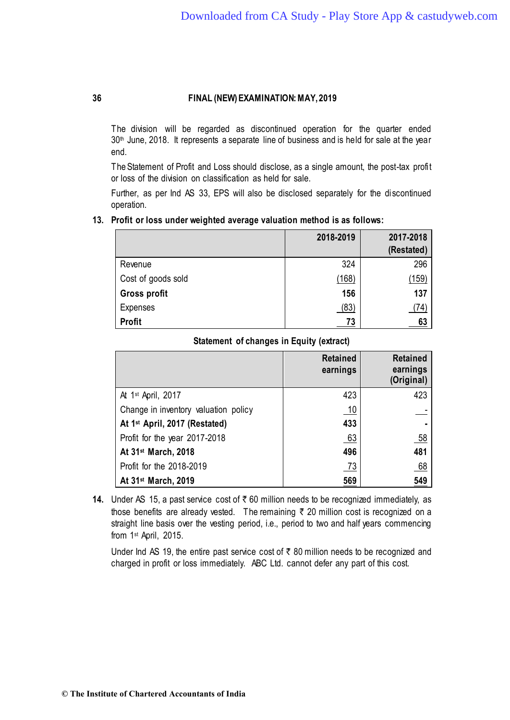The division will be regarded as discontinued operation for the quarter ended 30<sup>th</sup> June, 2018. It represents a separate line of business and is held for sale at the year end.

The Statement of Profit and Loss should disclose, as a single amount, the post-tax profit or loss of the division on classification as held for sale.

Further, as per Ind AS 33, EPS will also be disclosed separately for the discontinued operation.

### **13. Profit or loss under weighted average valuation method is as follows:**

|                     | 2018-2019 | 2017-2018<br>(Restated) |
|---------------------|-----------|-------------------------|
| Revenue             | 324       | 296                     |
| Cost of goods sold  | (168)     | (159)                   |
| <b>Gross profit</b> | 156       | 137                     |
| <b>Expenses</b>     | (83)      | (74)                    |
| <b>Profit</b>       | 73        | 63                      |

# **Statement of changes in Equity (extract)**

|                                           | <b>Retained</b><br>earnings | <b>Retained</b><br>earnings<br>(Original) |
|-------------------------------------------|-----------------------------|-------------------------------------------|
| At 1 <sup>st</sup> April, 2017            | 423                         | 423                                       |
| Change in inventory valuation policy      | 10                          |                                           |
| At 1 <sup>st</sup> April, 2017 (Restated) | 433                         | ۰                                         |
| Profit for the year 2017-2018             | 63                          | <u>58</u>                                 |
| At 31 <sup>st</sup> March, 2018           | 496                         | 481                                       |
| Profit for the 2018-2019                  | 73                          | 68                                        |
| At 31 <sup>st</sup> March, 2019           | 569                         | 549                                       |

**14.** Under AS 15, a past service cost of  $\bar{\tau}$  60 million needs to be recognized immediately, as those benefits are already vested. The remaining  $\bar{\tau}$  20 million cost is recognized on a straight line basis over the vesting period, i.e., period to two and half years commencing from 1st April, 2015.

Under Ind AS 19, the entire past service cost of  $\bar{\tau}$  80 million needs to be recognized and charged in profit or loss immediately. ABC Ltd. cannot defer any part of this cost.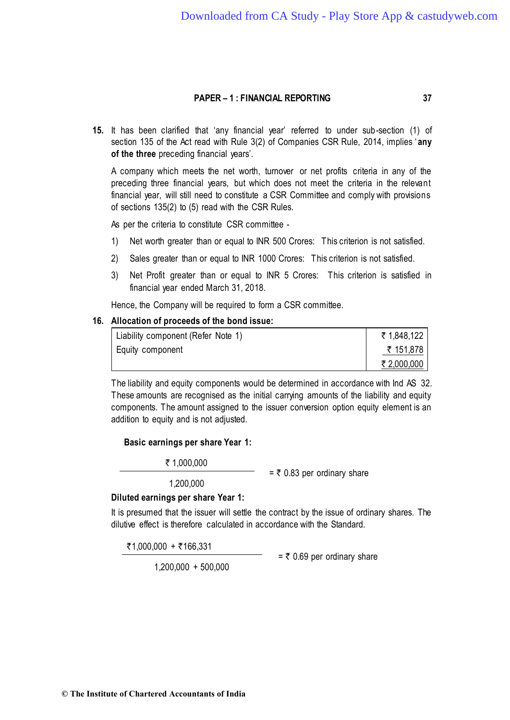**15.** It has been clarified that 'any financial year' referred to under sub-section (1) of section 135 of the Act read with Rule 3(2) of Companies CSR Rule, 2014, implies ' **any of the three** preceding financial years'.

A company which meets the net worth, turnover or net profits criteria in any of the preceding three financial years, but which does not meet the criteria in the relevant financial year, will still need to constitute a CSR Committee and comply with provisions of sections 135(2) to (5) read with the CSR Rules.

As per the criteria to constitute CSR committee -

- 1) Net worth greater than or equal to INR 500 Crores: This criterion is not satisfied.
- 2) Sales greater than or equal to INR 1000 Crores: This criterion is not satisfied.
- 3) Net Profit greater than or equal to INR 5 Crores: This criterion is satisfied in financial year ended March 31, 2018.

Hence, the Company will be required to form a CSR committee.

## **16. Allocation of proceeds of the bond issue:**

| Liability component (Refer Note 1) | ₹ 1,848,122 |
|------------------------------------|-------------|
| Equity component                   | ₹ 151,878   |
|                                    | ₹ 2,000,000 |

The liability and equity components would be determined in accordance with Ind AS 32. These amounts are recognised as the initial carrying amounts of the liability and equity components. The amount assigned to the issuer conversion option equity element is an addition to equity and is not adjusted.

# **Basic earnings per share Year 1:**

` 1,000,000

=  $\overline{\tau}$  0.83 per ordinary share

1,200,000

## **Diluted earnings per share Year 1:**

It is presumed that the issuer will settle the contract by the issue of ordinary shares. The dilutive effect is therefore calculated in accordance with the Standard.

 $\overline{5}1,000,000 + \overline{5}166,331$ 

1,200,000 + 500,000

=  $\overline{\tau}$  0.69 per ordinary share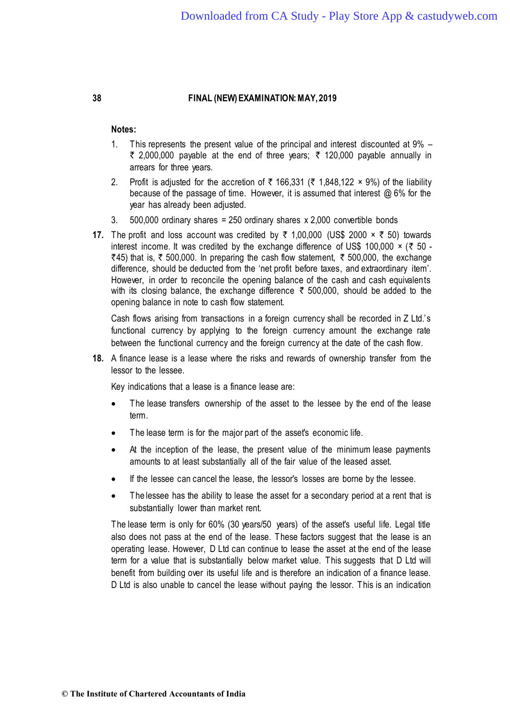## **Notes:**

- 1. This represents the present value of the principal and interest discounted at 9%  $\overline{\zeta}$  2,000,000 payable at the end of three years;  $\overline{\zeta}$  120,000 payable annually in arrears for three years.
- 2. Profit is adjusted for the accretion of  $\bar{\tau}$  166,331 ( $\bar{\tau}$  1,848,122 × 9%) of the liability because of the passage of time. However, it is assumed that interest @ 6% for the year has already been adjusted.
- 3. 500,000 ordinary shares = 250 ordinary shares x 2,000 convertible bonds
- **17.** The profit and loss account was credited by  $\bar{\tau}$  1,00,000 (US\$ 2000  $\times$   $\bar{\tau}$  50) towards interest income. It was credited by the exchange difference of US\$ 100,000  $\times$  (₹ 50 - $\overline{\xi}$ 45) that is,  $\overline{\xi}$  500,000. In preparing the cash flow statement,  $\overline{\xi}$  500,000, the exchange difference, should be deducted from the 'net profit before taxes, and extraordinary item'. However, in order to reconcile the opening balance of the cash and cash equivalents with its closing balance, the exchange difference  $\bar{\tau}$  500,000, should be added to the opening balance in note to cash flow statement.

Cash flows arising from transactions in a foreign currency shall be recorded in Z Ltd.'s functional currency by applying to the foreign currency amount the exchange rate between the functional currency and the foreign currency at the date of the cash flow.

**18.** A finance lease is a lease where the risks and rewards of ownership transfer from the lessor to the lessee.

Key indications that a lease is a finance lease are:

- The lease transfers ownership of the asset to the lessee by the end of the lease term.
- The lease term is for the major part of the asset's economic life.
- At the inception of the lease, the present value of the minimum lease payments amounts to at least substantially all of the fair value of the leased asset.
- If the lessee can cancel the lease, the lessor's losses are borne by the lessee.
- The lessee has the ability to lease the asset for a secondary period at a rent that is substantially lower than market rent.

The lease term is only for 60% (30 years/50 years) of the asset's useful life. Legal title also does not pass at the end of the lease. These factors suggest that the lease is an operating lease. However, D Ltd can continue to lease the asset at the end of the lease term for a value that is substantially below market value. This suggests that D Ltd will benefit from building over its useful life and is therefore an indication of a finance lease. D Ltd is also unable to cancel the lease without paying the lessor. This is an indication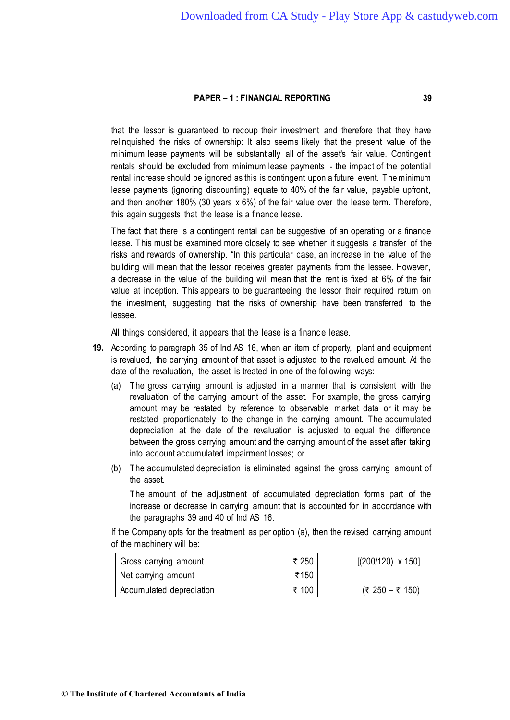that the lessor is guaranteed to recoup their investment and therefore that they have relinquished the risks of ownership: It also seems likely that the present value of the minimum lease payments will be substantially all of the asset's fair value. Contingent rentals should be excluded from minimum lease payments - the impact of the potential rental increase should be ignored as this is contingent upon a future event. The minimum lease payments (ignoring discounting) equate to 40% of the fair value, payable upfront, and then another 180% (30 years x 6%) of the fair value over the lease term. Therefore, this again suggests that the lease is a finance lease.

The fact that there is a contingent rental can be suggestive of an operating or a finance lease. This must be examined more closely to see whether it suggests a transfer of the risks and rewards of ownership. "In this particular case, an increase in the value of the building will mean that the lessor receives greater payments from the lessee. However, a decrease in the value of the building will mean that the rent is fixed at 6% of the fair value at inception. This appears to be guaranteeing the lessor their required return on the investment, suggesting that the risks of ownership have been transferred to the lessee.

All things considered, it appears that the lease is a finance lease.

- **19.** According to paragraph 35 of Ind AS 16, when an item of property, plant and equipment is revalued, the carrying amount of that asset is adjusted to the revalued amount. At the date of the revaluation, the asset is treated in one of the following ways:
	- (a) The gross carrying amount is adjusted in a manner that is consistent with the revaluation of the carrying amount of the asset. For example, the gross carrying amount may be restated by reference to observable market data or it may be restated proportionately to the change in the carrying amount. The accumulated depreciation at the date of the revaluation is adjusted to equal the difference between the gross carrying amount and the carrying amount of the asset after taking into account accumulated impairment losses; or
	- (b) The accumulated depreciation is eliminated against the gross carrying amount of the asset.

The amount of the adjustment of accumulated depreciation forms part of the increase or decrease in carrying amount that is accounted for in accordance with the paragraphs 39 and 40 of Ind AS 16.

If the Company opts for the treatment as per option (a), then the revised carrying amount of the machinery will be:

| Gross carrying amount    | ₹ 250 | $[(200/120) \times 150]$ |
|--------------------------|-------|--------------------------|
| Net carrying amount      | ₹150  |                          |
| Accumulated depreciation | ₹ 100 | (₹ 250 – ₹ 150)          |